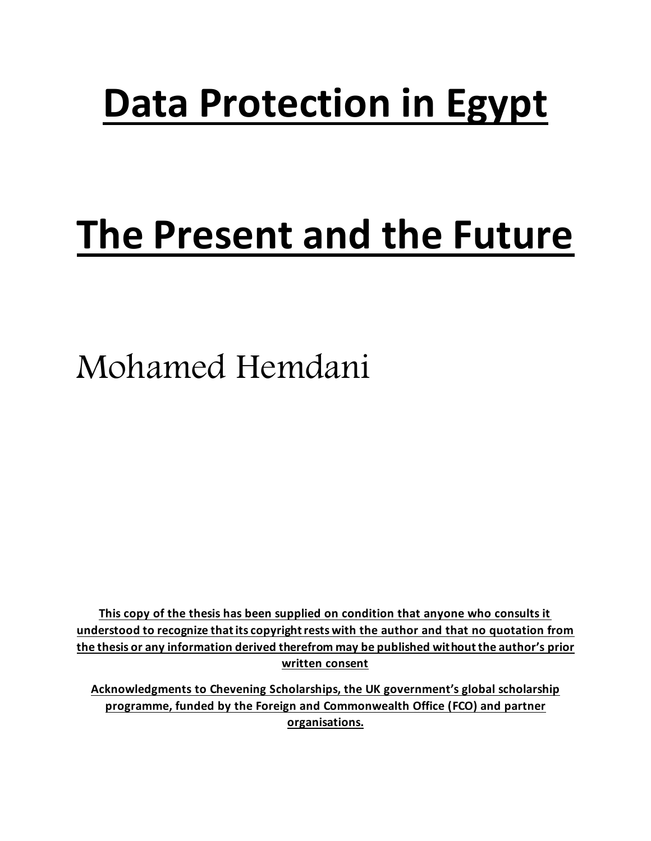# **Data Protection in Egypt**

# **The Present and the Future**

Mohamed Hemdani

**This copy of the thesis has been supplied on condition that anyone who consults it understood to recognize that its copyright rests with the author and that no quotation from the thesis or any information derived therefrom may be published without the author's prior written consent**

**Acknowledgments to Chevening Scholarships, the UK government's global scholarship programme, funded by the Foreign and Commonwealth Office (FCO) and partner organisations.**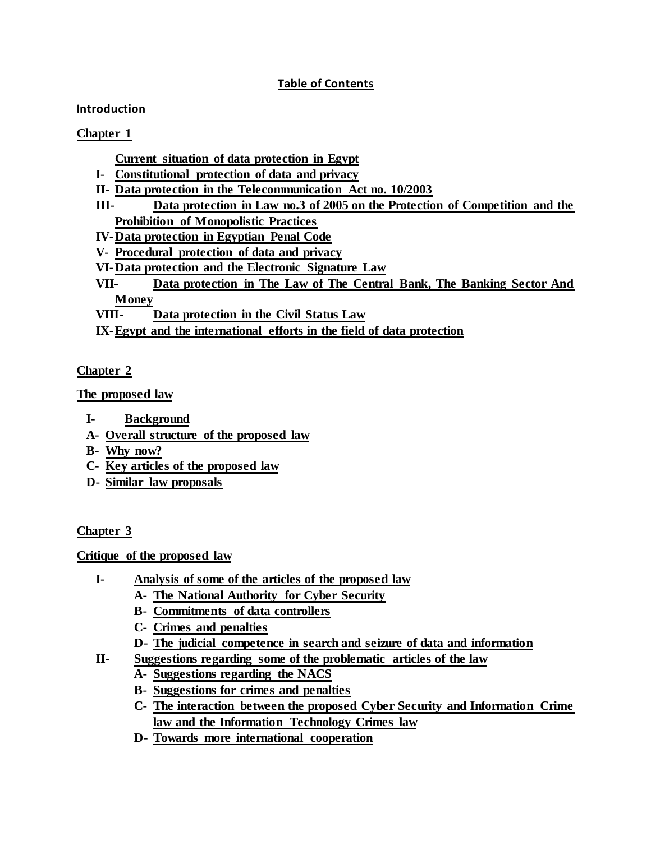# **Table of Contents**

# **Introduction**

# **Chapter 1**

- **Current situation of data protection in Egypt**
- **I- Constitutional protection of data and privacy**
- **II- Data protection in the Telecommunication Act no. 10/2003**
- **III- Data protection in Law no.3 of 2005 on the Protection of Competition and the Prohibition of Monopolistic Practices**
- **IV-Data protection in Egyptian Penal Code**
- **V- Procedural protection of data and privacy**
- **VI-Data protection and the Electronic Signature Law**
- **VII- Data protection in The Law of The Central Bank, The Banking Sector And Money**
- **VIII- Data protection in the Civil Status Law**

**IX-Egypt and the international efforts in the field of data protection**

# **Chapter 2**

**The proposed law**

- **I- Background**
- **A- Overall structure of the proposed law**
- **B- Why now?**
- **C- Key articles of the proposed law**
- **D- Similar law proposals**

# **Chapter 3**

**Critique of the proposed law**

- **I- Analysis of some of the articles of the proposed law**
	- **A- The National Authority for Cyber Security**
	- **B- Commitments of data controllers**
	- **C- Crimes and penalties**
	- **D- The judicial competence in search and seizure of data and information**
- **II- Suggestions regarding some of the problematic articles of the law**
	- **A- Suggestions regarding the NACS**
	- **B- Suggestions for crimes and penalties**
	- **C- The interaction between the proposed Cyber Security and Information Crime law and the Information Technology Crimes law**
	- **D- Towards more international cooperation**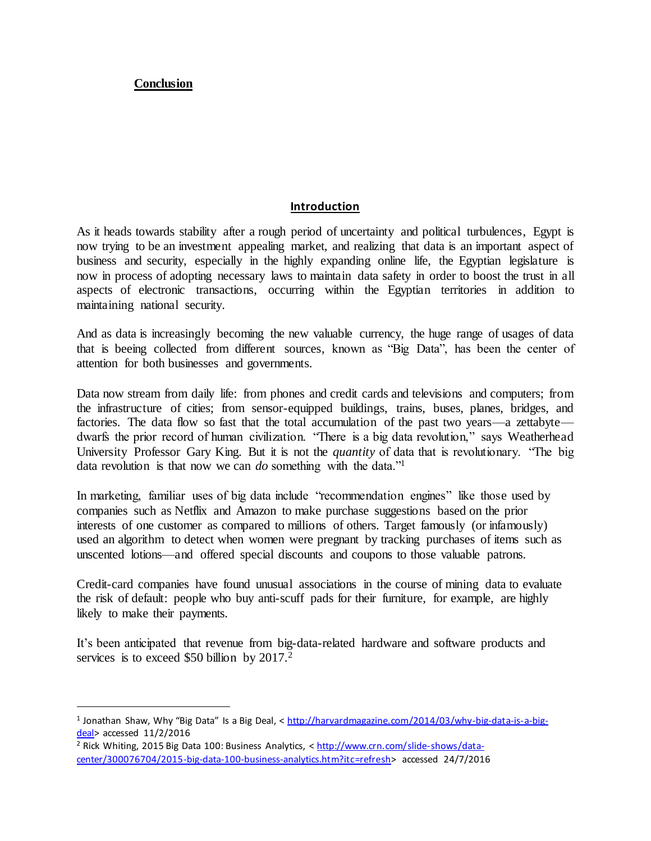**Conclusion**

 $\overline{a}$ 

#### **Introduction**

As it heads towards stability after a rough period of uncertainty and political turbulences, Egypt is now trying to be an investment appealing market, and realizing that data is an important aspect of business and security, especially in the highly expanding online life, the Egyptian legislature is now in process of adopting necessary laws to maintain data safety in order to boost the trust in all aspects of electronic transactions, occurring within the Egyptian territories in addition to maintaining national security.

And as data is increasingly becoming the new valuable currency, the huge range of usages of data that is beeing collected from different sources, known as "Big Data", has been the center of attention for both businesses and governments.

Data now stream from daily life: from phones and credit cards and televisions and computers; from the infrastructure of cities; from sensor-equipped buildings, trains, buses, planes, bridges, and factories. The data flow so fast that the total accumulation of the past two years—a zettabyte dwarfs the prior record of human civilization. "There is a big data revolution," says [Weatherhead](http://gking.harvard.edu/)  [University Professor Gary King.](http://gking.harvard.edu/) But it is not the *quantity* of data that is revolutionary. "The big data revolution is that now we can *do* something with the data."<sup>1</sup>

In marketing, familiar uses of big data include "recommendation engines" like those used by companies such as Netflix and Amazon to make purchase suggestions based on the prior interests of one customer as compared to millions of others. Target famously (or infamously) used an algorithm to detect when women were pregnant by tracking purchases of items such as unscented lotions—and offered special discounts and coupons to those valuable patrons.

Credit-card companies have found unusual associations in the course of mining data to evaluate the risk of default: people who buy anti-scuff pads for their furniture, for example, are highly likely to make their payments.

It's been anticipated that revenue from big-data-related hardware and software products and services is to exceed \$50 billion by 2017.<sup>2</sup>

<sup>&</sup>lt;sup>1</sup> Jonathan Shaw, Why "Big Data" Is a Big Deal, < [http://harvardmagazine.com/2014/03/why-big-data-is-a-big](http://harvardmagazine.com/2014/03/why-big-data-is-a-big-deal)[deal>](http://harvardmagazine.com/2014/03/why-big-data-is-a-big-deal) accessed 11/2/2016

<sup>2</sup> Rick Whiting, 2015 Big Data 100: Business Analytics, < [http://www.crn.com/slide-shows/data](http://www.crn.com/slide-shows/data-center/300076704/2015-big-data-100-business-analytics.htm?itc=refresh)[center/300076704/2015-big-data-100-business-analytics.htm?itc=refresh>](http://www.crn.com/slide-shows/data-center/300076704/2015-big-data-100-business-analytics.htm?itc=refresh) accessed 24/7/2016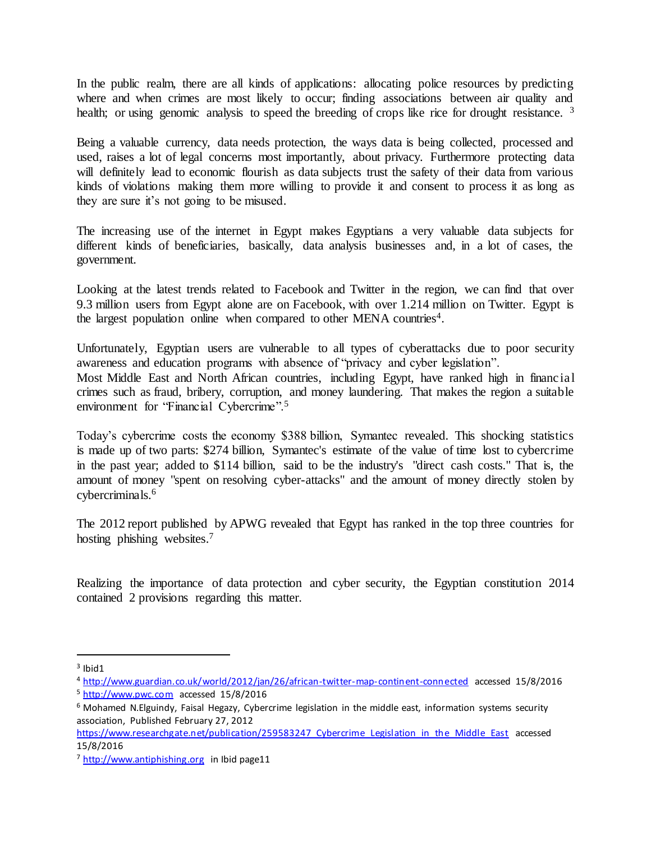In the public realm, there are all kinds of applications: allocating police resources by predicting where and when crimes are most likely to occur; finding associations between air quality and health; or using genomic analysis to speed the breeding of crops like rice for drought resistance.<sup>3</sup>

Being a valuable currency, data needs protection, the ways data is being collected, processed and used, raises a lot of legal concerns most importantly, about privacy. Furthermore protecting data will definitely lead to economic flourish as data subjects trust the safety of their data from various kinds of violations making them more willing to provide it and consent to process it as long as they are sure it's not going to be misused.

The increasing use of the internet in Egypt makes Egyptians a very valuable data subjects for different kinds of beneficiaries, basically, data analysis businesses and, in a lot of cases, the government.

Looking at the latest trends related to Facebook and Twitter in the region, we can find that over 9.3 million users from Egypt alone are on Facebook, with over 1.214 million on Twitter. Egypt is the largest population online when compared to other MENA countries<sup>4</sup>.

Unfortunately, Egyptian users are vulnerable to all types of cyberattacks due to poor security awareness and education programs with absence of "privacy and cyber legislation".

Most Middle East and North African countries, including Egypt, have ranked high in financial crimes such as fraud, bribery, corruption, and money laundering. That makes the region a suitable environment for "Financial Cybercrime".<sup>5</sup>

Today's cybercrime costs the economy \$388 billion, Symantec revealed. This shocking statistics is made up of two parts: \$274 billion, Symantec's estimate of the value of time lost to cybercrime in the past year; added to \$114 billion, said to be the industry's "direct cash costs." That is, the amount of money "spent on resolving cyber-attacks" and the amount of money directly stolen by cybercriminals.<sup>6</sup>

The 2012 report published by APWG revealed that Egypt has ranked in the top three countries for hosting phishing websites. 7

Realizing the importance of data protection and cyber security, the Egyptian constitution 2014 contained 2 provisions regarding this matter.

 $3$  Ibid1

<sup>4</sup> <http://www.guardian.co.uk/world/2012/jan/26/african-twitter-map-continent-connected> accessed 15/8/2016

<sup>&</sup>lt;sup>5</sup> [http://www.pwc.com](http://www.pwc.com/) accessed 15/8/2016

<sup>6</sup> Mohamed N.Elguindy, Faisal Hegazy, Cybercrime legislation in the middle east, information systems security association, Published February 27, 2012

https://www.researchgate.net/publication/259583247 Cybercrime\_Legislation\_in\_the\_Middle\_East accessed 15/8/2016

<sup>7</sup> [http://www.antiphishing.org](http://www.antiphishing.org/) in Ibid page11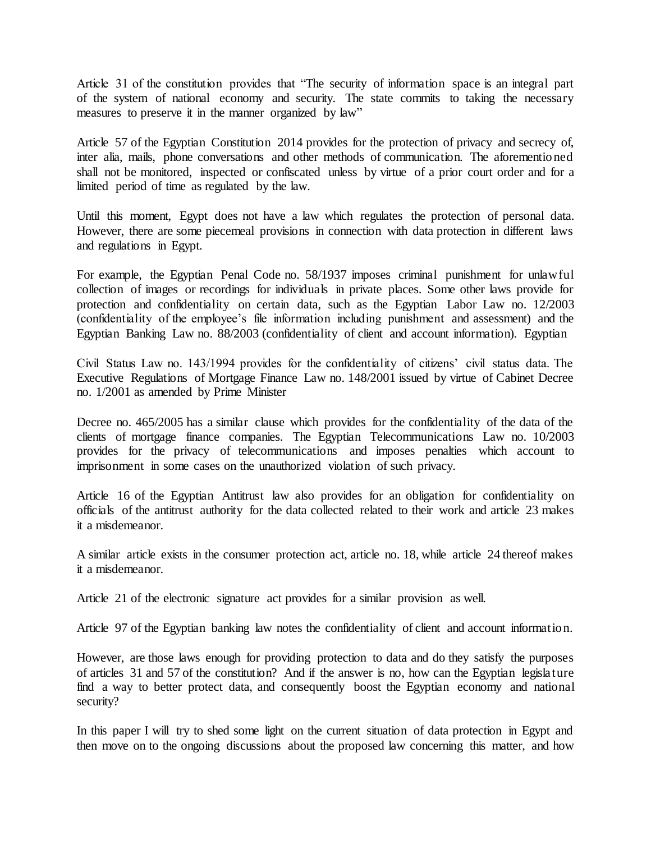Article 31 of the constitution provides that "The security of information space is an integral part of the system of national economy and security. The state commits to taking the necessary measures to preserve it in the manner organized by law"

Article 57 of the Egyptian Constitution 2014 provides for the protection of privacy and secrecy of, inter alia, mails, phone conversations and other methods of communication. The aforementioned shall not be monitored, inspected or confiscated unless by virtue of a prior court order and for a limited period of time as regulated by the law.

Until this moment, Egypt does not have a law which regulates the protection of personal data. However, there are some piecemeal provisions in connection with data protection in different laws and regulations in Egypt.

For example, the Egyptian Penal Code no. 58/1937 imposes criminal punishment for unlawful collection of images or recordings for individuals in private places. Some other laws provide for protection and confidentiality on certain data, such as the Egyptian Labor Law no. 12/2003 (confidentiality of the employee's file information including punishment and assessment) and the Egyptian Banking Law no. 88/2003 (confidentiality of client and account information). Egyptian

Civil Status Law no. 143/1994 provides for the confidentiality of citizens' civil status data. The Executive Regulations of Mortgage Finance Law no. 148/2001 issued by virtue of Cabinet Decree no. 1/2001 as amended by Prime Minister

Decree no. 465/2005 has a similar clause which provides for the confidentiality of the data of the clients of mortgage finance companies. The Egyptian Telecommunications Law no. 10/2003 provides for the privacy of telecommunications and imposes penalties which account to imprisonment in some cases on the unauthorized violation of such privacy.

Article 16 of the Egyptian Antitrust law also provides for an obligation for confidentiality on officials of the antitrust authority for the data collected related to their work and article 23 makes it a misdemeanor.

A similar article exists in the consumer protection act, article no. 18, while article 24 thereof makes it a misdemeanor.

Article 21 of the electronic signature act provides for a similar provision as well.

Article 97 of the Egyptian banking law notes the confidentiality of client and account information.

However, are those laws enough for providing protection to data and do they satisfy the purposes of articles 31 and 57 of the constitution? And if the answer is no, how can the Egyptian legislature find a way to better protect data, and consequently boost the Egyptian economy and national security?

In this paper I will try to shed some light on the current situation of data protection in Egypt and then move on to the ongoing discussions about the proposed law concerning this matter, and how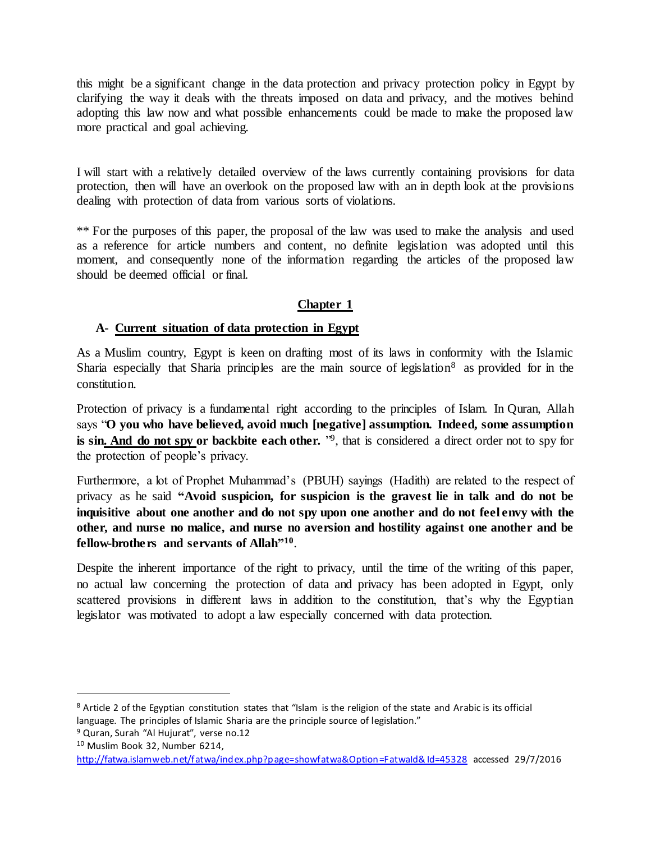this might be a significant change in the data protection and privacy protection policy in Egypt by clarifying the way it deals with the threats imposed on data and privacy, and the motives behind adopting this law now and what possible enhancements could be made to make the proposed law more practical and goal achieving.

I will start with a relatively detailed overview of the laws currently containing provisions for data protection, then will have an overlook on the proposed law with an in depth look at the provisions dealing with protection of data from various sorts of violations.

\*\* For the purposes of this paper, the proposal of the law was used to make the analysis and used as a reference for article numbers and content, no definite legislation was adopted until this moment, and consequently none of the information regarding the articles of the proposed law should be deemed official or final.

# **Chapter 1**

#### **A- Current situation of data protection in Egypt**

As a Muslim country, Egypt is keen on drafting most of its laws in conformity with the Islamic Sharia especially that Sharia principles are the main source of legislation<sup>8</sup> as provided for in the constitution.

Protection of privacy is a fundamental right according to the principles of Islam. In Quran, Allah says "**O you who have believed, avoid much [negative] assumption. Indeed, some assumption**  is sin. And do not spy or backbite each other. <sup>"9</sup>, that is considered a direct order not to spy for the protection of people's privacy.

Furthermore, a lot of Prophet Muhammad's (PBUH) sayings (Hadith) are related to the respect of privacy as he said **"Avoid suspicion, for suspicion is the gravest lie in talk and do not be inquisitive about one another and do not spy upon one another and do not feel envy with the other, and nurse no malice, and nurse no aversion and hostility against one another and be fellow-brothers and servants of Allah" 10** .

Despite the inherent importance of the right to privacy, until the time of the writing of this paper, no actual law concerning the protection of data and privacy has been adopted in Egypt, only scattered provisions in different laws in addition to the constitution, that's why the Egyptian legislator was motivated to adopt a law especially concerned with data protection.

<sup>8</sup> Article 2 of the Egyptian constitution states that "Islam is the religion of the state and Arabic is its official language. The principles of Islamic Sharia are the principle source of legislation."

<sup>&</sup>lt;sup>9</sup> Quran, Surah "Al Hujurat", verse no.12

<sup>10</sup> Muslim Book 32, Number 6214,

<http://fatwa.islamweb.net/fatwa/index.php?page=showfatwa&Option=FatwaId&Id=45328> accessed 29/7/2016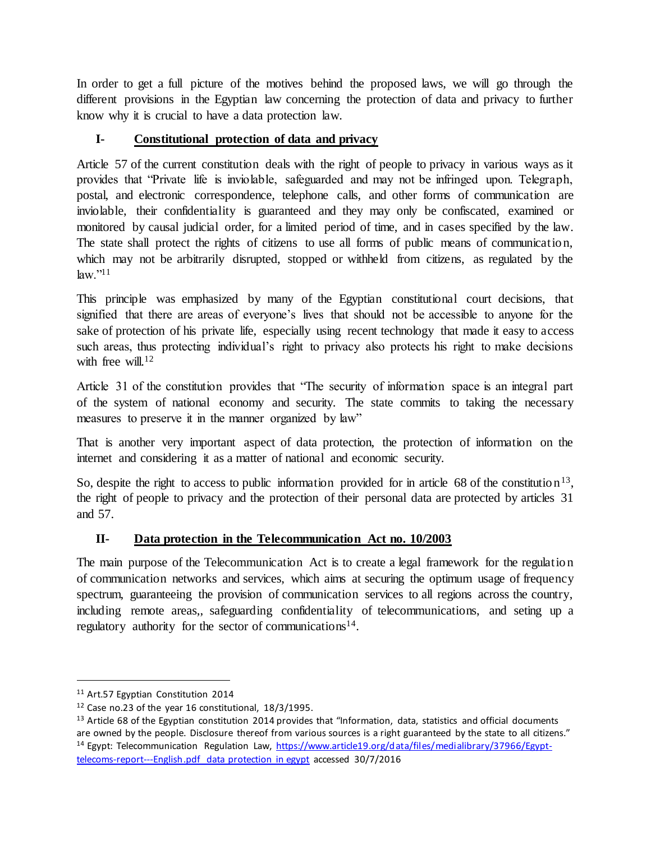In order to get a full picture of the motives behind the proposed laws, we will go through the different provisions in the Egyptian law concerning the protection of data and privacy to further know why it is crucial to have a data protection law.

# **I- Constitutional protection of data and privacy**

Article 57 of the current constitution deals with the right of people to privacy in various ways as it provides that "Private life is inviolable, safeguarded and may not be infringed upon. Telegraph, postal, and electronic correspondence, telephone calls, and other forms of communication are inviolable, their confidentiality is guaranteed and they may only be confiscated, examined or monitored by causal judicial order, for a limited period of time, and in cases specified by the law. The state shall protect the rights of citizens to use all forms of public means of communication, which may not be arbitrarily disrupted, stopped or withheld from citizens, as regulated by the  $law.^{"11}$ 

This principle was emphasized by many of the Egyptian constitutional court decisions, that signified that there are areas of everyone's lives that should not be accessible to anyone for the sake of protection of his private life, especially using recent technology that made it easy to access such areas, thus protecting individual's right to privacy also protects his right to make decisions with free will  $12$ 

Article 31 of the constitution provides that "The security of information space is an integral part of the system of national economy and security. The state commits to taking the necessary measures to preserve it in the manner organized by law"

That is another very important aspect of data protection, the protection of information on the internet and considering it as a matter of national and economic security.

So, despite the right to access to public information provided for in article 68 of the constitution<sup>13</sup>, the right of people to privacy and the protection of their personal data are protected by articles 31 and 57.

# **II- Data protection in the Telecommunication Act no. 10/2003**

The main purpose of the Telecommunication Act is to create a legal framework for the regulation of communication networks and services, which aims at securing the optimum usage of frequency spectrum, guaranteeing the provision of communication services to all regions across the country, including remote areas,, safeguarding confidentiality of telecommunications, and seting up a regulatory authority for the sector of communications<sup>14</sup>.

<sup>&</sup>lt;sup>11</sup> Art.57 Egyptian Constitution 2014

 $12$  Case no.23 of the year 16 constitutional,  $18/3/1995$ .

 $13$  Article 68 of the Egyptian constitution 2014 provides that "Information, data, statistics and official documents are owned by the people. Disclosure thereof from various sources is a right guaranteed by the state to all citizens." <sup>14</sup> Egypt: Telecommunication Regulation Law, [https://www.article19.org/data/files/medialibrary/37966/Egypt](https://www.article19.org/data/files/medialibrary/37966/Egypt-telecoms-report---English.pdf%20data%20protection%20in%20egypt)[telecoms-report---English.pdf data protection in egypt](https://www.article19.org/data/files/medialibrary/37966/Egypt-telecoms-report---English.pdf%20data%20protection%20in%20egypt) accessed 30/7/2016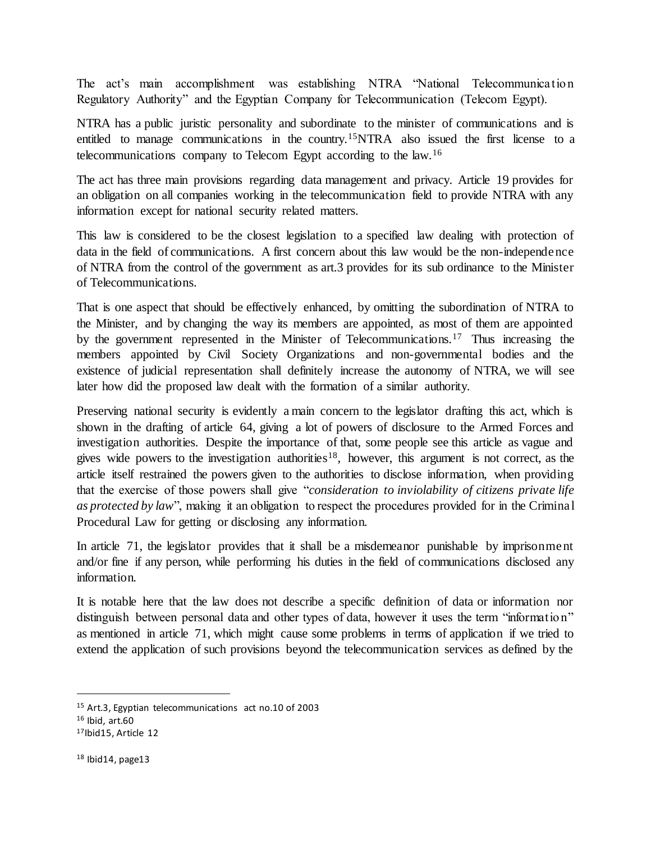The act's main accomplishment was establishing NTRA "National Telecommunication Regulatory Authority" and the Egyptian Company for Telecommunication (Telecom Egypt).

NTRA has a public juristic personality and subordinate to the minister of communications and is entitled to manage communications in the country.<sup>15</sup>NTRA also issued the first license to a telecommunications company to Telecom Egypt according to the law.<sup>16</sup>

The act has three main provisions regarding data management and privacy. Article 19 provides for an obligation on all companies working in the telecommunication field to provide NTRA with any information except for national security related matters.

This law is considered to be the closest legislation to a specified law dealing with protection of data in the field of communications. A first concern about this law would be the non-independence of NTRA from the control of the government as art.3 provides for its sub ordinance to the Minister of Telecommunications.

That is one aspect that should be effectively enhanced, by omitting the subordination of NTRA to the Minister, and by changing the way its members are appointed, as most of them are appointed by the government represented in the Minister of Telecommunications.<sup>17</sup> Thus increasing the members appointed by Civil Society Organizations and non-governmental bodies and the existence of judicial representation shall definitely increase the autonomy of NTRA, we will see later how did the proposed law dealt with the formation of a similar authority.

Preserving national security is evidently a main concern to the legislator drafting this act, which is shown in the drafting of article 64, giving a lot of powers of disclosure to the Armed Forces and investigation authorities. Despite the importance of that, some people see this article as vague and gives wide powers to the investigation authorities<sup>18</sup>, however, this argument is not correct, as the article itself restrained the powers given to the authorities to disclose information, when providing that the exercise of those powers shall give "*consideration to inviolability of citizens private life as protected by law*", making it an obligation to respect the procedures provided for in the Criminal Procedural Law for getting or disclosing any information.

In article 71, the legislator provides that it shall be a misdemeanor punishable by imprisonment and/or fine if any person, while performing his duties in the field of communications disclosed any information.

It is notable here that the law does not describe a specific definition of data or information nor distinguish between personal data and other types of data, however it uses the term "information" as mentioned in article 71, which might cause some problems in terms of application if we tried to extend the application of such provisions beyond the telecommunication services as defined by the

<sup>15</sup> Art.3, Egyptian telecommunications act no.10 of 2003

 $16$  Ibid, art.60

<sup>17</sup>Ibid15, Article 12

 $18$  Ibid14, page13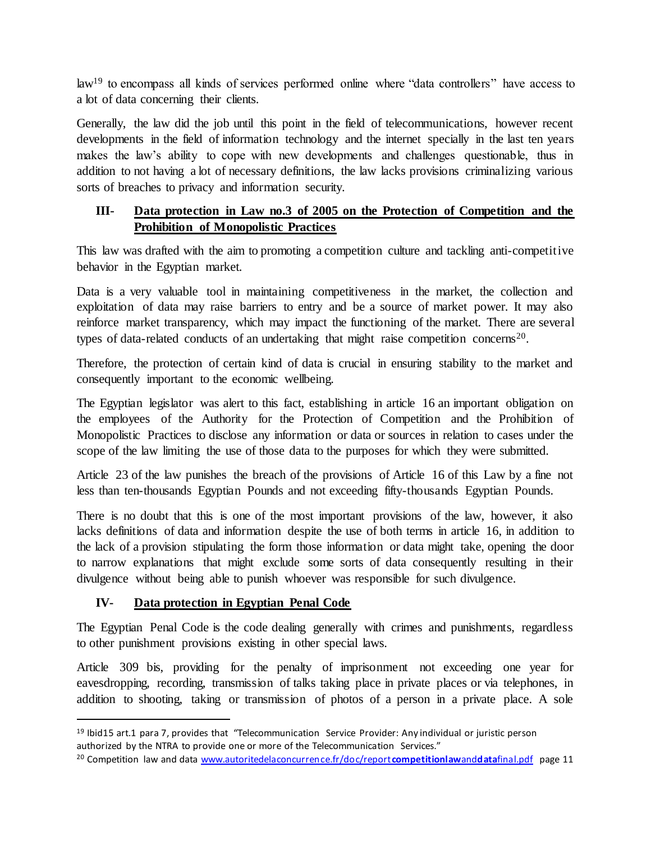law<sup>19</sup> to encompass all kinds of services performed online where "data controllers" have access to a lot of data concerning their clients.

Generally, the law did the job until this point in the field of telecommunications, however recent developments in the field of information technology and the internet specially in the last ten years makes the law's ability to cope with new developments and challenges questionable, thus in addition to not having a lot of necessary definitions, the law lacks provisions criminalizing various sorts of breaches to privacy and information security.

# **III- Data protection in Law no.3 of 2005 on the Protection of Competition and the Prohibition of Monopolistic Practices**

This law was drafted with the aim to promoting a competition culture and tackling anti-competitive behavior in the Egyptian market.

Data is a very valuable tool in maintaining competitiveness in the market, the collection and exploitation of data may raise barriers to entry and be a source of market power. It may also reinforce market transparency, which may impact the functioning of the market. There are several types of data-related conducts of an undertaking that might raise competition concerns<sup>20</sup>.

Therefore, the protection of certain kind of data is crucial in ensuring stability to the market and consequently important to the economic wellbeing.

The Egyptian legislator was alert to this fact, establishing in article 16 an important obligation on the employees of the Authority for the Protection of Competition and the Prohibition of Monopolistic Practices to disclose any information or data or sources in relation to cases under the scope of the law limiting the use of those data to the purposes for which they were submitted.

Article 23 of the law punishes the breach of the provisions of Article 16 of this Law by a fine not less than ten-thousands Egyptian Pounds and not exceeding fifty-thousands Egyptian Pounds.

There is no doubt that this is one of the most important provisions of the law, however, it also lacks definitions of data and information despite the use of both terms in article 16, in addition to the lack of a provision stipulating the form those information or data might take, opening the door to narrow explanations that might exclude some sorts of data consequently resulting in their divulgence without being able to punish whoever was responsible for such divulgence.

# **IV- Data protection in Egyptian Penal Code**

 $\overline{a}$ 

The Egyptian Penal Code is the code dealing generally with crimes and punishments, regardless to other punishment provisions existing in other special laws.

Article 309 bis, providing for the penalty of imprisonment not exceeding one year for eavesdropping, recording, transmission of talks taking place in private places or via telephones, in addition to shooting, taking or transmission of photos of a person in a private place. A sole

<sup>19</sup> Ibid15 art.1 para 7, provides that "Telecommunication Service Provider: Any individual or juristic person authorized by the NTRA to provide one or more of the Telecommunication Services."

<sup>20</sup> Competition law and dat[a www.autoritedelaconcurrence.fr/doc/report](http://www.autoritedelaconcurrence.fr/doc/reportcompetitionlawanddatafinal.pdf)**competitionlaw**and**data**final.pdf page 11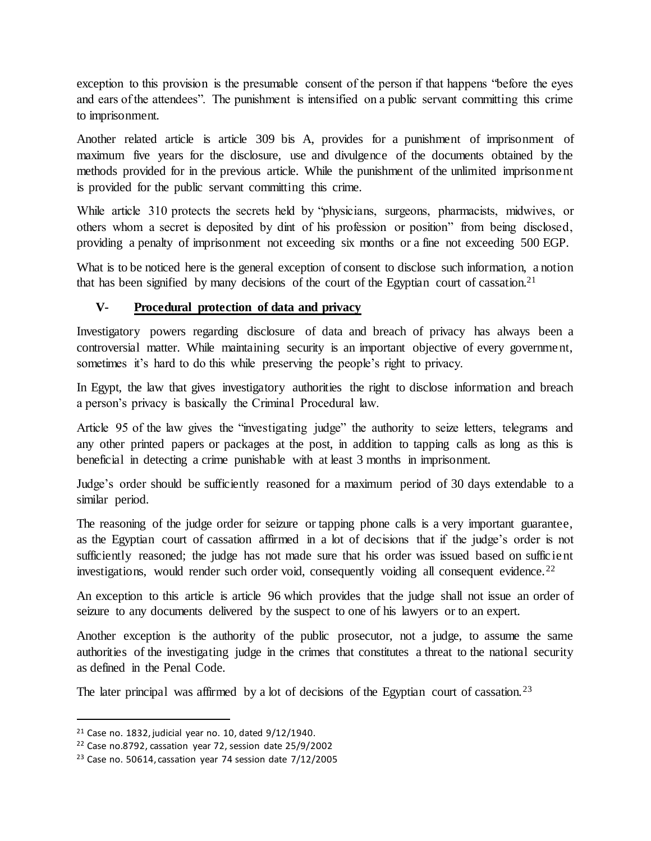exception to this provision is the presumable consent of the person if that happens "before the eyes and ears of the attendees". The punishment is intensified on a public servant committing this crime to imprisonment.

Another related article is article 309 bis A, provides for a punishment of imprisonment of maximum five years for the disclosure, use and divulgence of the documents obtained by the methods provided for in the previous article. While the punishment of the unlimited imprisonment is provided for the public servant committing this crime.

While article 310 protects the secrets held by "physicians, surgeons, pharmacists, midwives, or others whom a secret is deposited by dint of his profession or position" from being disclosed, providing a penalty of imprisonment not exceeding six months or a fine not exceeding 500 EGP.

What is to be noticed here is the general exception of consent to disclose such information, a notion that has been signified by many decisions of the court of the Egyptian court of cassation.<sup>21</sup>

# **V- Procedural protection of data and privacy**

Investigatory powers regarding disclosure of data and breach of privacy has always been a controversial matter. While maintaining security is an important objective of every government, sometimes it's hard to do this while preserving the people's right to privacy.

In Egypt, the law that gives investigatory authorities the right to disclose information and breach a person's privacy is basically the Criminal Procedural law.

Article 95 of the law gives the "investigating judge" the authority to seize letters, telegrams and any other printed papers or packages at the post, in addition to tapping calls as long as this is beneficial in detecting a crime punishable with at least 3 months in imprisonment.

Judge's order should be sufficiently reasoned for a maximum period of 30 days extendable to a similar period.

The reasoning of the judge order for seizure or tapping phone calls is a very important guarantee, as the Egyptian court of cassation affirmed in a lot of decisions that if the judge's order is not sufficiently reasoned; the judge has not made sure that his order was issued based on sufficient investigations, would render such order void, consequently voiding all consequent evidence.<sup>22</sup>

An exception to this article is article 96 which provides that the judge shall not issue an order of seizure to any documents delivered by the suspect to one of his lawyers or to an expert.

Another exception is the authority of the public prosecutor, not a judge, to assume the same authorities of the investigating judge in the crimes that constitutes a threat to the national security as defined in the Penal Code.

The later principal was affirmed by a lot of decisions of the Egyptian court of cassation.<sup>23</sup>

 $21$  Case no. 1832, judicial year no. 10, dated  $9/12/1940$ .

<sup>22</sup> Case no.8792, cassation year 72, session date 25/9/2002

 $23$  Case no. 50614, cassation year 74 session date  $7/12/2005$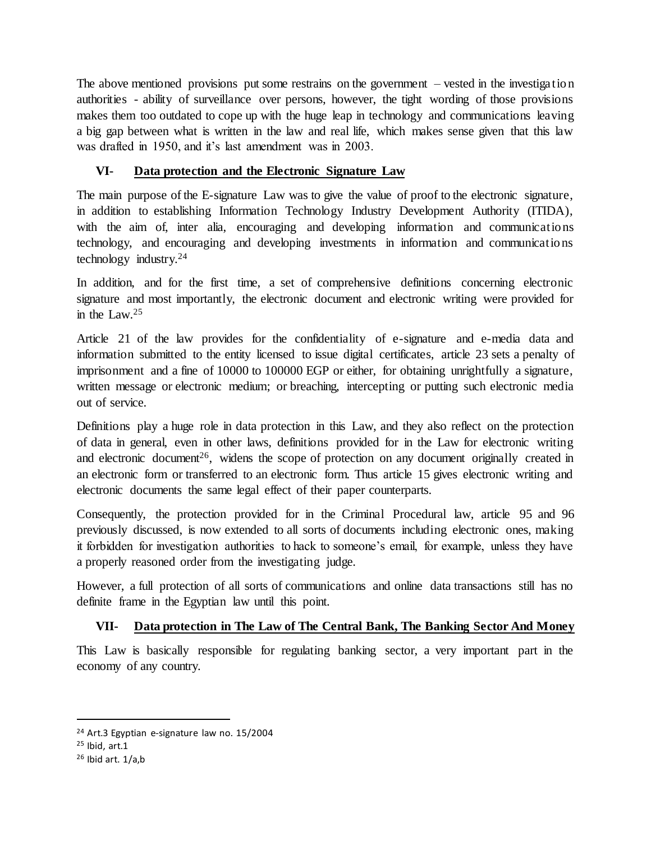The above mentioned provisions put some restrains on the government – vested in the investigation authorities - ability of surveillance over persons, however, the tight wording of those provisions makes them too outdated to cope up with the huge leap in technology and communications leaving a big gap between what is written in the law and real life, which makes sense given that this law was drafted in 1950, and it's last amendment was in 2003.

# **VI- Data protection and the Electronic Signature Law**

The main purpose of the E-signature Law was to give the value of proof to the electronic signature, in addition to establishing Information Technology Industry Development Authority (ITIDA), with the aim of, inter alia, encouraging and developing information and communications technology, and encouraging and developing investments in information and communications technology industry.<sup>24</sup>

In addition, and for the first time, a set of comprehensive definitions concerning electronic signature and most importantly, the electronic document and electronic writing were provided for in the Law.<sup>25</sup>

Article 21 of the law provides for the confidentiality of e-signature and e-media data and information submitted to the entity licensed to issue digital certificates, article 23 sets a penalty of imprisonment and a fine of 10000 to 100000 EGP or either, for obtaining unrightfully a signature, written message or electronic medium; or breaching, intercepting or putting such electronic media out of service.

Definitions play a huge role in data protection in this Law, and they also reflect on the protection of data in general, even in other laws, definitions provided for in the Law for electronic writing and electronic document<sup>26</sup>, widens the scope of protection on any document originally created in an electronic form or transferred to an electronic form. Thus article 15 gives electronic writing and electronic documents the same legal effect of their paper counterparts.

Consequently, the protection provided for in the Criminal Procedural law, article 95 and 96 previously discussed, is now extended to all sorts of documents including electronic ones, making it forbidden for investigation authorities to hack to someone's email, for example, unless they have a properly reasoned order from the investigating judge.

However, a full protection of all sorts of communications and online data transactions still has no definite frame in the Egyptian law until this point.

# **VII- Data protection in The Law of The Central Bank, The Banking Sector And Money**

This Law is basically responsible for regulating banking sector, a very important part in the economy of any country.

<sup>24</sup> Art.3 Egyptian e-signature law no. 15/2004

 $25$  Ibid, art.1

 $26$  Ibid art.  $1/a$ , b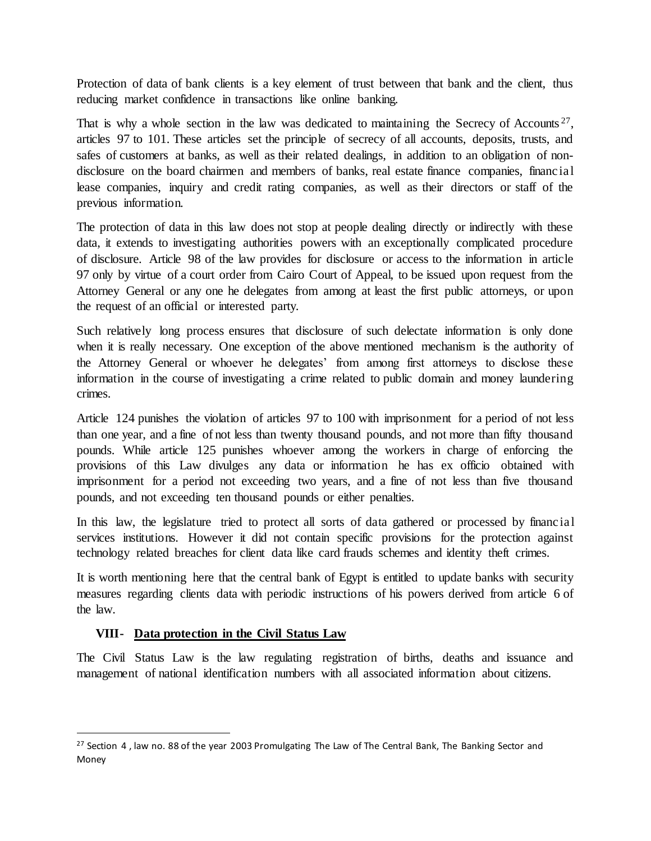Protection of data of bank clients is a key element of trust between that bank and the client, thus reducing market confidence in transactions like online banking.

That is why a whole section in the law was dedicated to maintaining the Secrecy of Accounts<sup>27</sup>, articles 97 to 101. These articles set the principle of secrecy of all accounts, deposits, trusts, and safes of customers at banks, as well as their related dealings, in addition to an obligation of nondisclosure on the board chairmen and members of banks, real estate finance companies, financial lease companies, inquiry and credit rating companies, as well as their directors or staff of the previous information.

The protection of data in this law does not stop at people dealing directly or indirectly with these data, it extends to investigating authorities powers with an exceptionally complicated procedure of disclosure. Article 98 of the law provides for disclosure or access to the information in article 97 only by virtue of a court order from Cairo Court of Appeal, to be issued upon request from the Attorney General or any one he delegates from among at least the first public attorneys, or upon the request of an official or interested party.

Such relatively long process ensures that disclosure of such delectate information is only done when it is really necessary. One exception of the above mentioned mechanism is the authority of the Attorney General or whoever he delegates' from among first attorneys to disclose these information in the course of investigating a crime related to public domain and money laundering crimes.

Article 124 punishes the violation of articles 97 to 100 with imprisonment for a period of not less than one year, and a fine of not less than twenty thousand pounds, and not more than fifty thousand pounds. While article 125 punishes whoever among the workers in charge of enforcing the provisions of this Law divulges any data or information he has ex officio obtained with imprisonment for a period not exceeding two years, and a fine of not less than five thousand pounds, and not exceeding ten thousand pounds or either penalties.

In this law, the legislature tried to protect all sorts of data gathered or processed by financial services institutions. However it did not contain specific provisions for the protection against technology related breaches for client data like card frauds schemes and identity theft crimes.

It is worth mentioning here that the central bank of Egypt is entitled to update banks with security measures regarding clients data with periodic instructions of his powers derived from article 6 of the law.

# **VIII- Data protection in the Civil Status Law**

 $\overline{a}$ 

The Civil Status Law is the law regulating registration of births, deaths and issuance and management of national identification numbers with all associated information about citizens.

 $27$  Section 4, law no. 88 of the year 2003 Promulgating The Law of The Central Bank, The Banking Sector and Money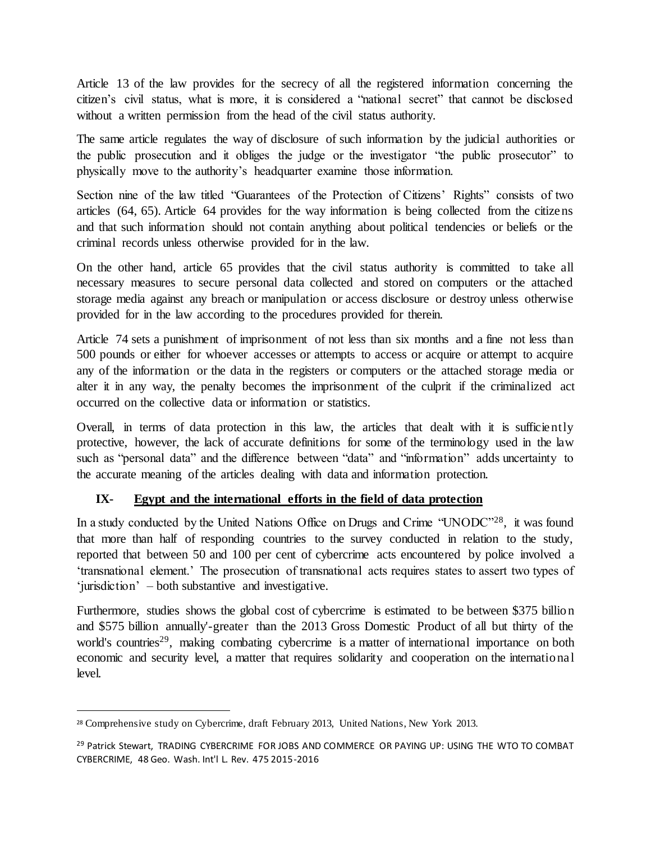Article 13 of the law provides for the secrecy of all the registered information concerning the citizen's civil status, what is more, it is considered a "national secret" that cannot be disclosed without a written permission from the head of the civil status authority.

The same article regulates the way of disclosure of such information by the judicial authorities or the public prosecution and it obliges the judge or the investigator "the public prosecutor" to physically move to the authority's headquarter examine those information.

Section nine of the law titled "Guarantees of the Protection of Citizens' Rights" consists of two articles (64, 65). Article 64 provides for the way information is being collected from the citizens and that such information should not contain anything about political tendencies or beliefs or the criminal records unless otherwise provided for in the law.

On the other hand, article 65 provides that the civil status authority is committed to take all necessary measures to secure personal data collected and stored on computers or the attached storage media against any breach or manipulation or access disclosure or destroy unless otherwise provided for in the law according to the procedures provided for therein.

Article 74 sets a punishment of imprisonment of not less than six months and a fine not less than 500 pounds or either for whoever accesses or attempts to access or acquire or attempt to acquire any of the information or the data in the registers or computers or the attached storage media or alter it in any way, the penalty becomes the imprisonment of the culprit if the criminalized act occurred on the collective data or information or statistics.

Overall, in terms of data protection in this law, the articles that dealt with it is sufficiently protective, however, the lack of accurate definitions for some of the terminology used in the law such as "personal data" and the difference between "data" and "information" adds uncertainty to the accurate meaning of the articles dealing with data and information protection.

# **IX- Egypt and the international efforts in the field of data protection**

In a study conducted by the United Nations Office on Drugs and Crime "UNODC"<sup>28</sup>, it was found that more than half of responding countries to the survey conducted in relation to the study, reported that between 50 and 100 per cent of cybercrime acts encountered by police involved a 'transnational element.' The prosecution of transnational acts requires states to assert two types of 'jurisdiction' – both substantive and investigative.

Furthermore, studies shows the global cost of cybercrime is estimated to be between \$375 billion and \$575 billion annually'-greater than the 2013 Gross Domestic Product of all but thirty of the world's countries<sup>29</sup>, making combating cybercrime is a matter of international importance on both economic and security level, a matter that requires solidarity and cooperation on the international level.

<sup>28</sup> Comprehensive study on Cybercrime, draft February 2013, United Nations, New York 2013.

<sup>&</sup>lt;sup>29</sup> Patrick Stewart, TRADING CYBERCRIME FOR JOBS AND COMMERCE OR PAYING UP: USING THE WTO TO COMBAT CYBERCRIME, 48 Geo. Wash. Int'l L. Rev. 475 2015-2016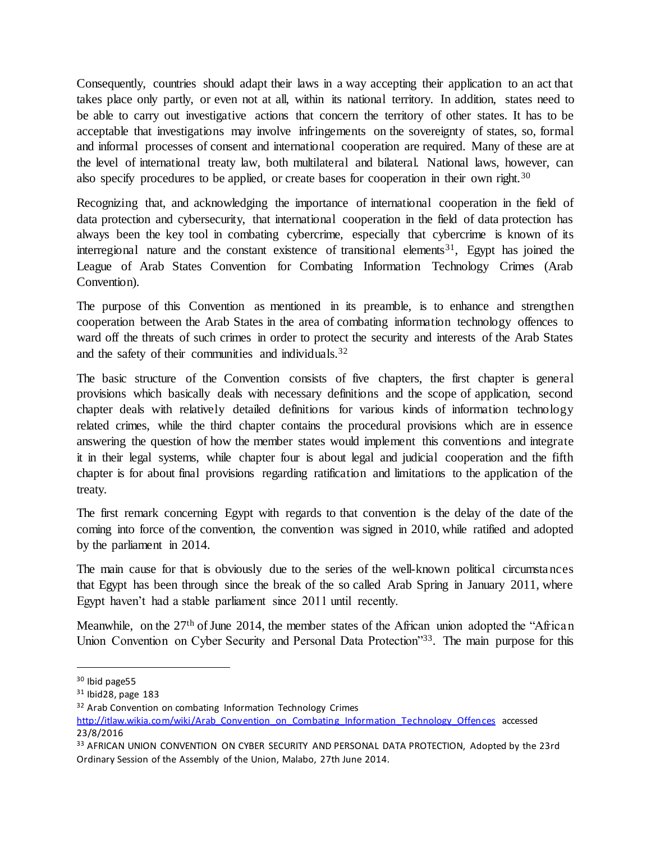Consequently, countries should adapt their laws in a way accepting their application to an act that takes place only partly, or even not at all, within its national territory. In addition, states need to be able to carry out investigative actions that concern the territory of other states. It has to be acceptable that investigations may involve infringements on the sovereignty of states, so, formal and informal processes of consent and international cooperation are required. Many of these are at the level of international treaty law, both multilateral and bilateral. National laws, however, can also specify procedures to be applied, or create bases for cooperation in their own right.<sup>30</sup>

Recognizing that, and acknowledging the importance of international cooperation in the field of data protection and cybersecurity, that international cooperation in the field of data protection has always been the key tool in combating cybercrime, especially that cybercrime is known of its interregional nature and the constant existence of transitional elements<sup>31</sup>, Egypt has joined the League of Arab States Convention for Combating Information Technology Crimes (Arab Convention).

The purpose of this Convention as mentioned in its preamble, is to enhance and strengthen cooperation between the Arab States in the area of combating information technology offences to ward off the threats of such crimes in order to protect the security and interests of the Arab States and the safety of their communities and individuals.<sup>32</sup>

The basic structure of the Convention consists of five chapters, the first chapter is general provisions which basically deals with necessary definitions and the scope of application, second chapter deals with relatively detailed definitions for various kinds of information technology related crimes, while the third chapter contains the procedural provisions which are in essence answering the question of how the member states would implement this conventions and integrate it in their legal systems, while chapter four is about legal and judicial cooperation and the fifth chapter is for about final provisions regarding ratification and limitations to the application of the treaty.

The first remark concerning Egypt with regards to that convention is the delay of the date of the coming into force of the convention, the convention was signed in 2010, while ratified and adopted by the parliament in 2014.

The main cause for that is obviously due to the series of the well-known political circumstances that Egypt has been through since the break of the so called Arab Spring in January 2011, where Egypt haven't had a stable parliament since 2011 until recently.

Meanwhile, on the 27<sup>th</sup> of June 2014, the member states of the African union adopted the "African Union Convention on Cyber Security and Personal Data Protection<sup>333</sup>. The main purpose for this

<sup>30</sup> Ibid page55

<sup>31</sup> Ibid28, page 183

<sup>&</sup>lt;sup>32</sup> Arab Convention on combating Information Technology Crimes

http://itlaw.wikia.com/wiki/Arab Convention\_on\_Combating\_Information\_Technology\_Offences accessed 23/8/2016

<sup>&</sup>lt;sup>33</sup> AFRICAN UNION CONVENTION ON CYBER SECURITY AND PERSONAL DATA PROTECTION, Adopted by the 23rd Ordinary Session of the Assembly of the Union, Malabo, 27th June 2014.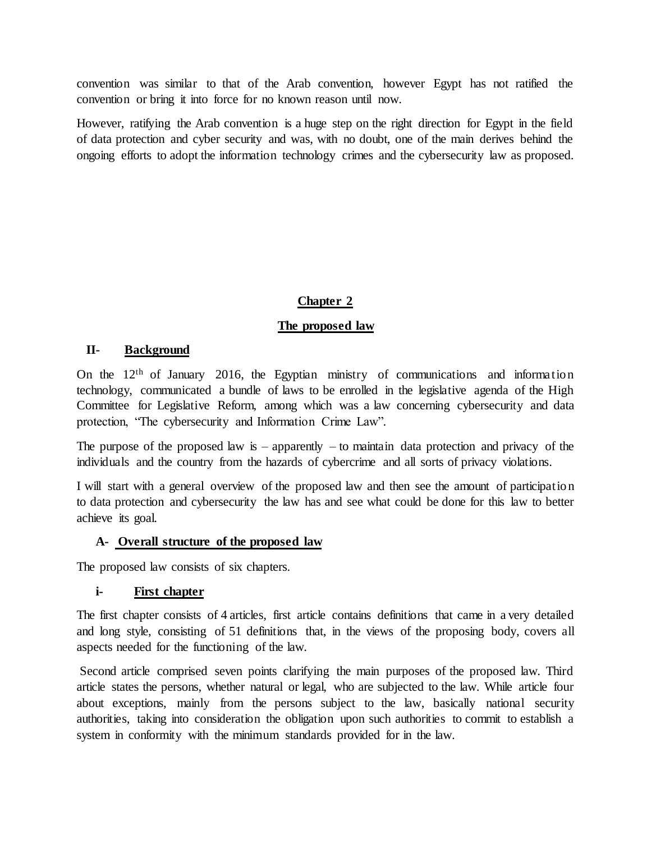convention was similar to that of the Arab convention, however Egypt has not ratified the convention or bring it into force for no known reason until now.

However, ratifying the Arab convention is a huge step on the right direction for Egypt in the field of data protection and cyber security and was, with no doubt, one of the main derives behind the ongoing efforts to adopt the information technology crimes and the cybersecurity law as proposed.

# **Chapter 2**

# **The proposed law**

# **II- Background**

On the 12th of January 2016, the Egyptian ministry of communications and information technology, communicated a bundle of laws to be enrolled in the legislative agenda of the High Committee for Legislative Reform, among which was a law concerning cybersecurity and data protection, "The cybersecurity and Information Crime Law".

The purpose of the proposed law is – apparently – to maintain data protection and privacy of the individuals and the country from the hazards of cybercrime and all sorts of privacy violations.

I will start with a general overview of the proposed law and then see the amount of participation to data protection and cybersecurity the law has and see what could be done for this law to better achieve its goal.

# **A- Overall structure of the proposed law**

The proposed law consists of six chapters.

# **i- First chapter**

The first chapter consists of 4 articles, first article contains definitions that came in a very detailed and long style, consisting of 51 definitions that, in the views of the proposing body, covers all aspects needed for the functioning of the law.

Second article comprised seven points clarifying the main purposes of the proposed law. Third article states the persons, whether natural or legal, who are subjected to the law. While article four about exceptions, mainly from the persons subject to the law, basically national security authorities, taking into consideration the obligation upon such authorities to commit to establish a system in conformity with the minimum standards provided for in the law.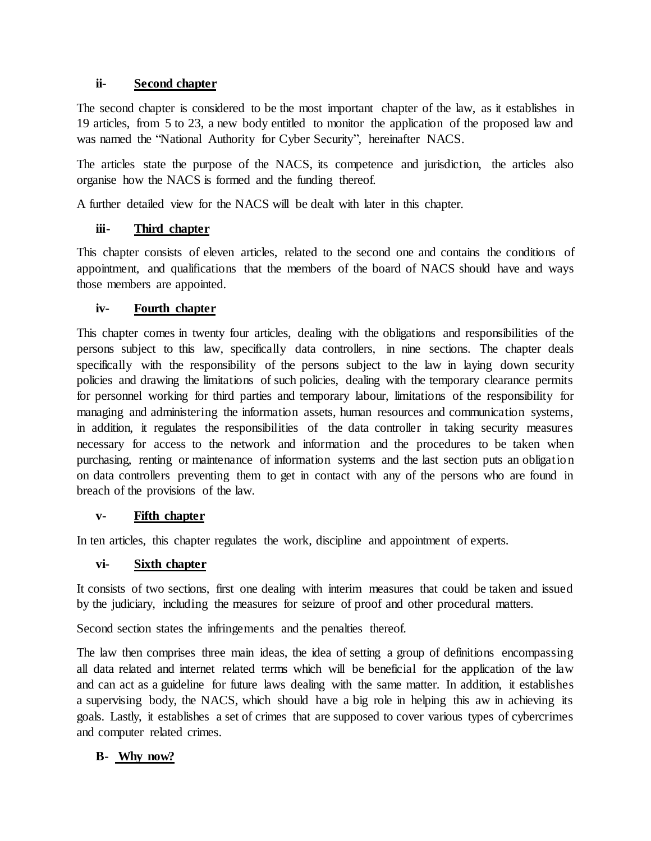#### **ii- Second chapter**

The second chapter is considered to be the most important chapter of the law, as it establishes in 19 articles, from 5 to 23, a new body entitled to monitor the application of the proposed law and was named the "National Authority for Cyber Security", hereinafter NACS.

The articles state the purpose of the NACS, its competence and jurisdiction, the articles also organise how the NACS is formed and the funding thereof.

A further detailed view for the NACS will be dealt with later in this chapter.

# **iii- Third chapter**

This chapter consists of eleven articles, related to the second one and contains the conditions of appointment, and qualifications that the members of the board of NACS should have and ways those members are appointed.

#### **iv- Fourth chapter**

This chapter comes in twenty four articles, dealing with the obligations and responsibilities of the persons subject to this law, specifically data controllers, in nine sections. The chapter deals specifically with the responsibility of the persons subject to the law in laying down security policies and drawing the limitations of such policies, dealing with the temporary clearance permits for personnel working for third parties and temporary labour, limitations of the responsibility for managing and administering the information assets, human resources and communication systems, in addition, it regulates the responsibilities of the data controller in taking security measures necessary for access to the network and information and the procedures to be taken when purchasing, renting or maintenance of information systems and the last section puts an obligation on data controllers preventing them to get in contact with any of the persons who are found in breach of the provisions of the law.

#### **v- Fifth chapter**

In ten articles, this chapter regulates the work, discipline and appointment of experts.

#### **vi- Sixth chapter**

It consists of two sections, first one dealing with interim measures that could be taken and issued by the judiciary, including the measures for seizure of proof and other procedural matters.

Second section states the infringements and the penalties thereof.

The law then comprises three main ideas, the idea of setting a group of definitions encompassing all data related and internet related terms which will be beneficial for the application of the law and can act as a guideline for future laws dealing with the same matter. In addition, it establishes a supervising body, the NACS, which should have a big role in helping this aw in achieving its goals. Lastly, it establishes a set of crimes that are supposed to cover various types of cybercrimes and computer related crimes.

# **B- Why now?**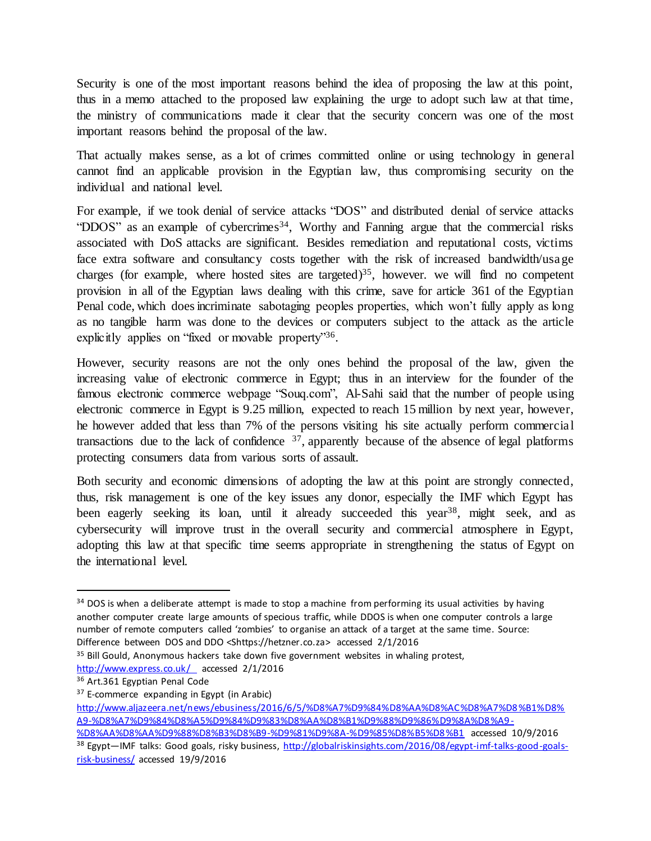Security is one of the most important reasons behind the idea of proposing the law at this point, thus in a memo attached to the proposed law explaining the urge to adopt such law at that time, the ministry of communications made it clear that the security concern was one of the most important reasons behind the proposal of the law.

That actually makes sense, as a lot of crimes committed online or using technology in general cannot find an applicable provision in the Egyptian law, thus compromising security on the individual and national level.

For example, if we took denial of service attacks "DOS" and distributed denial of service attacks "DDOS" as an example of cybercrimes<sup>34</sup>, Worthy and Fanning argue that the commercial risks associated with DoS attacks are significant. Besides remediation and reputational costs, victims face extra software and consultancy costs together with the risk of increased bandwidth/usage charges (for example, where hosted sites are targeted) <sup>35</sup>, however. we will find no competent provision in all of the Egyptian laws dealing with this crime, save for article 361 of the Egyptian Penal code, which does incriminate sabotaging peoples properties, which won't fully apply as long as no tangible harm was done to the devices or computers subject to the attack as the article explicitly applies on "fixed or movable property"<sup>36</sup>.

However, security reasons are not the only ones behind the proposal of the law, given the increasing value of electronic commerce in Egypt; thus in an interview for the founder of the famous electronic commerce webpage "Souq.com", Al-Sahi said that the number of people using electronic commerce in Egypt is 9.25 million, expected to reach 15 million by next year, however, he however added that less than 7% of the persons visiting his site actually perform commercial transactions due to the lack of confidence  $37$ , apparently because of the absence of legal platforms protecting consumers data from various sorts of assault.

Both security and economic dimensions of adopting the law at this point are strongly connected, thus, risk management is one of the key issues any donor, especially the IMF which Egypt has been eagerly seeking its loan, until it already succeeded this year<sup>38</sup>, might seek, and as cybersecurity will improve trust in the overall security and commercial atmosphere in Egypt, adopting this law at that specific time seems appropriate in strengthening the status of Egypt on the international level.

 $34$  DOS is when a deliberate attempt is made to stop a machine from performing its usual activities by having another computer create large amounts of specious traffic, while DDOS is when one computer controls a large number of remote computers called 'zombies' to organise an attack of a target at the same time. Source: Difference between DOS and DDO <Shttps://hetzner.co.za> accessed 2/1/2016

<sup>&</sup>lt;sup>35</sup> Bill Gould, Anonymous hackers take down five government websites in whaling protest. <http://www.express.co.uk/>accessed 2/1/2016

<sup>36</sup> Art.361 Egyptian Penal Code

<sup>&</sup>lt;sup>37</sup> E-commerce expanding in Egypt (in Arabic)

[http://www.aljazeera.net/news/ebusiness/2016/6/5/%D8%A7%D9%84%D8%AA%D8%AC%D8%A7%D8%B1%D8%](http://www.aljazeera.net/news/ebusiness/2016/6/5/%D8%A7%D9%84%D8%AA%D8%AC%D8%A7%D8%B1%D8%A9-%D8%A7%D9%84%D8%A5%D9%84%D9%83%D8%AA%D8%B1%D9%88%D9%86%D9%8A%D8%A9-%D8%AA%D8%AA%D9%88%D8%B3%D8%B9-%D9%81%D9%8A-%D9%85%D8%B5%D8%B1) [A9-%D8%A7%D9%84%D8%A5%D9%84%D9%83%D8%AA%D8%B1%D9%88%D9%86%D9%8A%D8%A9-](http://www.aljazeera.net/news/ebusiness/2016/6/5/%D8%A7%D9%84%D8%AA%D8%AC%D8%A7%D8%B1%D8%A9-%D8%A7%D9%84%D8%A5%D9%84%D9%83%D8%AA%D8%B1%D9%88%D9%86%D9%8A%D8%A9-%D8%AA%D8%AA%D9%88%D8%B3%D8%B9-%D9%81%D9%8A-%D9%85%D8%B5%D8%B1)

[<sup>%</sup>D8%AA%D8%AA%D9%88%D8%B3%D8%B9-%D9%81%D9%8A-%D9%85%D8%B5%D8%B1](http://www.aljazeera.net/news/ebusiness/2016/6/5/%D8%A7%D9%84%D8%AA%D8%AC%D8%A7%D8%B1%D8%A9-%D8%A7%D9%84%D8%A5%D9%84%D9%83%D8%AA%D8%B1%D9%88%D9%86%D9%8A%D8%A9-%D8%AA%D8%AA%D9%88%D8%B3%D8%B9-%D9%81%D9%8A-%D9%85%D8%B5%D8%B1) accessed 10/9/2016 38 Egypt—IMF talks: Good goals, risky business[, http://globalriskinsights.com/2016/08/egypt-imf-talks-good-goals](http://globalriskinsights.com/2016/08/egypt-imf-talks-good-goals-risk-business/)[risk-business/](http://globalriskinsights.com/2016/08/egypt-imf-talks-good-goals-risk-business/) accessed 19/9/2016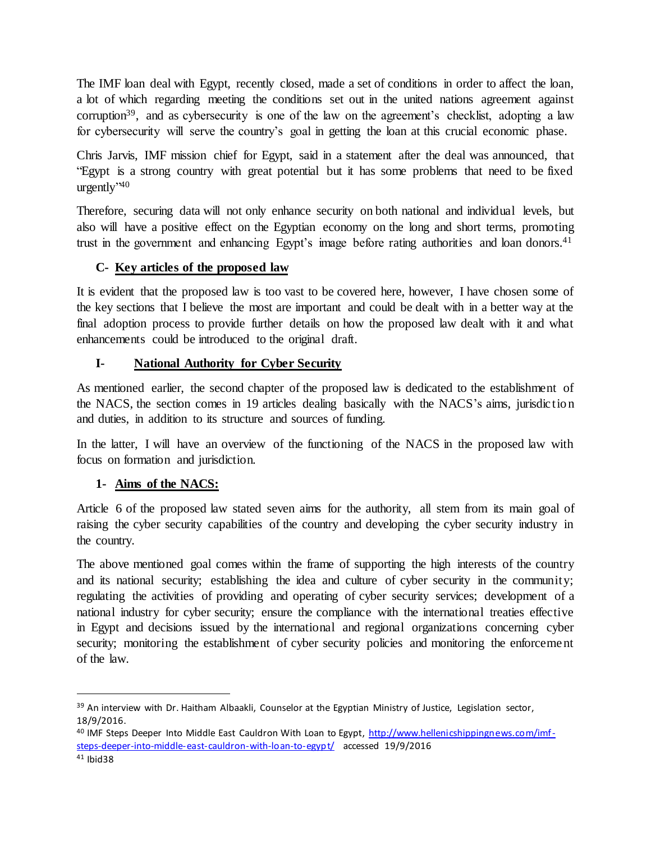The IMF loan deal with Egypt, recently closed, made a set of conditions in order to affect the loan, a lot of which regarding meeting the conditions set out in the united nations agreement against corruption<sup>39</sup>, and as cybersecurity is one of the law on the agreement's checklist, adopting a law for cybersecurity will serve the country's goal in getting the loan at this crucial economic phase.

Chris Jarvis, IMF mission chief for Egypt, said in a statement after the deal was announced, that "Egypt is a strong country with great potential but it has some problems that need to be fixed urgently'<sup>40</sup>

Therefore, securing data will not only enhance security on both national and individual levels, but also will have a positive effect on the Egyptian economy on the long and short terms, promoting trust in the government and enhancing Egypt's image before rating authorities and loan donors.<sup>41</sup>

# **C- Key articles of the proposed law**

It is evident that the proposed law is too vast to be covered here, however, I have chosen some of the key sections that I believe the most are important and could be dealt with in a better way at the final adoption process to provide further details on how the proposed law dealt with it and what enhancements could be introduced to the original draft.

# **I- National Authority for Cyber Security**

As mentioned earlier, the second chapter of the proposed law is dedicated to the establishment of the NACS, the section comes in 19 articles dealing basically with the NACS's aims, jurisdiction and duties, in addition to its structure and sources of funding.

In the latter, I will have an overview of the functioning of the NACS in the proposed law with focus on formation and jurisdiction.

# **1- Aims of the NACS:**

Article 6 of the proposed law stated seven aims for the authority, all stem from its main goal of raising the cyber security capabilities of the country and developing the cyber security industry in the country.

The above mentioned goal comes within the frame of supporting the high interests of the country and its national security; establishing the idea and culture of cyber security in the community; regulating the activities of providing and operating of cyber security services; development of a national industry for cyber security; ensure the compliance with the international treaties effective in Egypt and decisions issued by the international and regional organizations concerning cyber security; monitoring the establishment of cyber security policies and monitoring the enforcement of the law.

<sup>&</sup>lt;sup>39</sup> An interview with Dr. Haitham Albaakli, Counselor at the Egyptian Ministry of Justice, Legislation sector, 18/9/2016.

<sup>40</sup> IMF Steps Deeper Into Middle East Cauldron With Loan to Egypt[, http://www.hellenicshippingnews.com/imf](http://www.hellenicshippingnews.com/imf-steps-deeper-into-middle-east-cauldron-with-loan-to-egypt/)[steps-deeper-into-middle-east-cauldron-with-loan-to-egypt/](http://www.hellenicshippingnews.com/imf-steps-deeper-into-middle-east-cauldron-with-loan-to-egypt/) accessed 19/9/2016

<sup>41</sup> Ibid38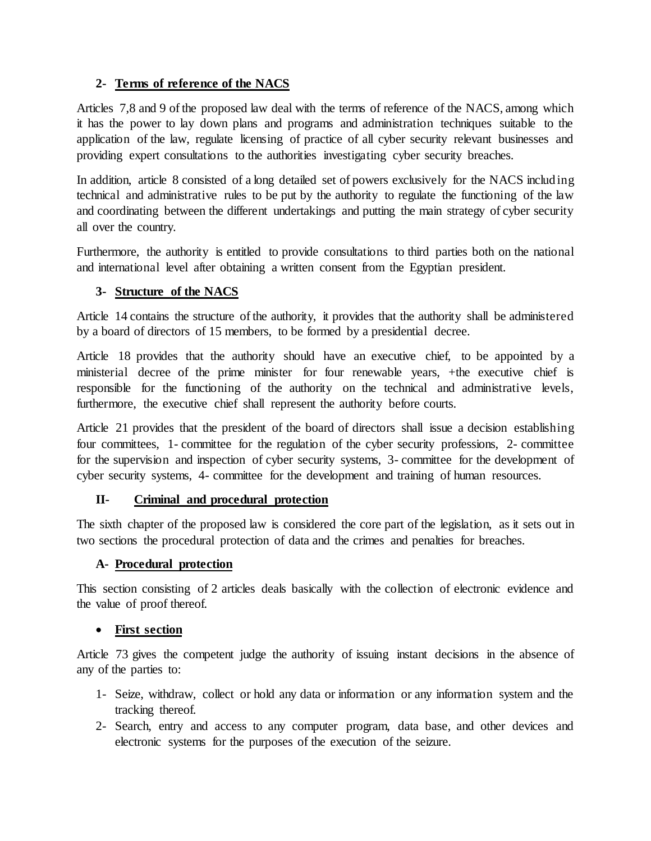# **2- Terms of reference of the NACS**

Articles 7,8 and 9 of the proposed law deal with the terms of reference of the NACS, among which it has the power to lay down plans and programs and administration techniques suitable to the application of the law, regulate licensing of practice of all cyber security relevant businesses and providing expert consultations to the authorities investigating cyber security breaches.

In addition, article 8 consisted of a long detailed set of powers exclusively for the NACS including technical and administrative rules to be put by the authority to regulate the functioning of the law and coordinating between the different undertakings and putting the main strategy of cyber security all over the country.

Furthermore, the authority is entitled to provide consultations to third parties both on the national and international level after obtaining a written consent from the Egyptian president.

# **3- Structure of the NACS**

Article 14 contains the structure of the authority, it provides that the authority shall be administered by a board of directors of 15 members, to be formed by a presidential decree.

Article 18 provides that the authority should have an executive chief, to be appointed by a ministerial decree of the prime minister for four renewable years, +the executive chief is responsible for the functioning of the authority on the technical and administrative levels, furthermore, the executive chief shall represent the authority before courts.

Article 21 provides that the president of the board of directors shall issue a decision establishing four committees, 1- committee for the regulation of the cyber security professions, 2- committee for the supervision and inspection of cyber security systems, 3- committee for the development of cyber security systems, 4- committee for the development and training of human resources.

# **II- Criminal and procedural protection**

The sixth chapter of the proposed law is considered the core part of the legislation, as it sets out in two sections the procedural protection of data and the crimes and penalties for breaches.

# **A- Procedural protection**

This section consisting of 2 articles deals basically with the collection of electronic evidence and the value of proof thereof.

# **First section**

Article 73 gives the competent judge the authority of issuing instant decisions in the absence of any of the parties to:

- 1- Seize, withdraw, collect or hold any data or information or any information system and the tracking thereof.
- 2- Search, entry and access to any computer program, data base, and other devices and electronic systems for the purposes of the execution of the seizure.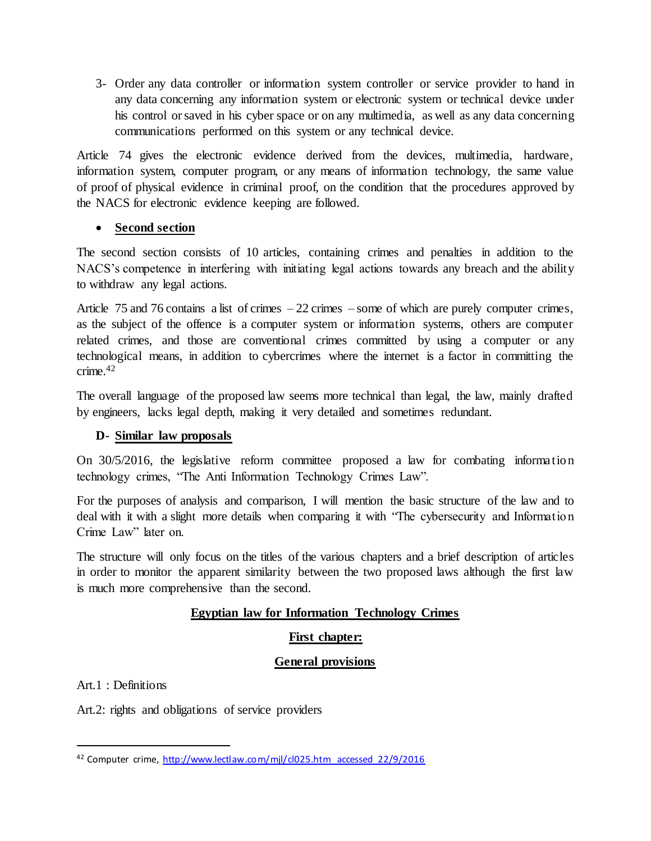3- Order any data controller or information system controller or service provider to hand in any data concerning any information system or electronic system or technical device under his control or saved in his cyber space or on any multimedia, as well as any data concerning communications performed on this system or any technical device.

Article 74 gives the electronic evidence derived from the devices, multimedia, hardware, information system, computer program, or any means of information technology, the same value of proof of physical evidence in criminal proof, on the condition that the procedures approved by the NACS for electronic evidence keeping are followed.

# **Second section**

The second section consists of 10 articles, containing crimes and penalties in addition to the NACS's competence in interfering with initiating legal actions towards any breach and the ability to withdraw any legal actions.

Article 75 and 76 contains a list of crimes  $-22$  crimes – some of which are purely computer crimes, as the subject of the offence is a computer system or information systems, others are computer related crimes, and those are conventional crimes committed by using a computer or any technological means, in addition to cybercrimes where the internet is a factor in committing the  $crime$ <sup>42</sup>

The overall language of the proposed law seems more technical than legal, the law, mainly drafted by engineers, lacks legal depth, making it very detailed and sometimes redundant.

#### **D- Similar law proposals**

On 30/5/2016, the legislative reform committee proposed a law for combating information technology crimes, "The Anti Information Technology Crimes Law".

For the purposes of analysis and comparison, I will mention the basic structure of the law and to deal with it with a slight more details when comparing it with "The cybersecurity and Information Crime Law" later on.

The structure will only focus on the titles of the various chapters and a brief description of articles in order to monitor the apparent similarity between the two proposed laws although the first law is much more comprehensive than the second.

# **Egyptian law for Information Technology Crimes**

# **First chapter:**

# **General provisions**

Art.1 : Definitions

 $\overline{a}$ 

Art.2: rights and obligations of service providers

<sup>42</sup> Computer crime, [http://www.lectlaw.com/mjl/cl025.htm accessed 22/9/2016](http://www.lectlaw.com/mjl/cl025.htm%20accessed%2022/9/2016)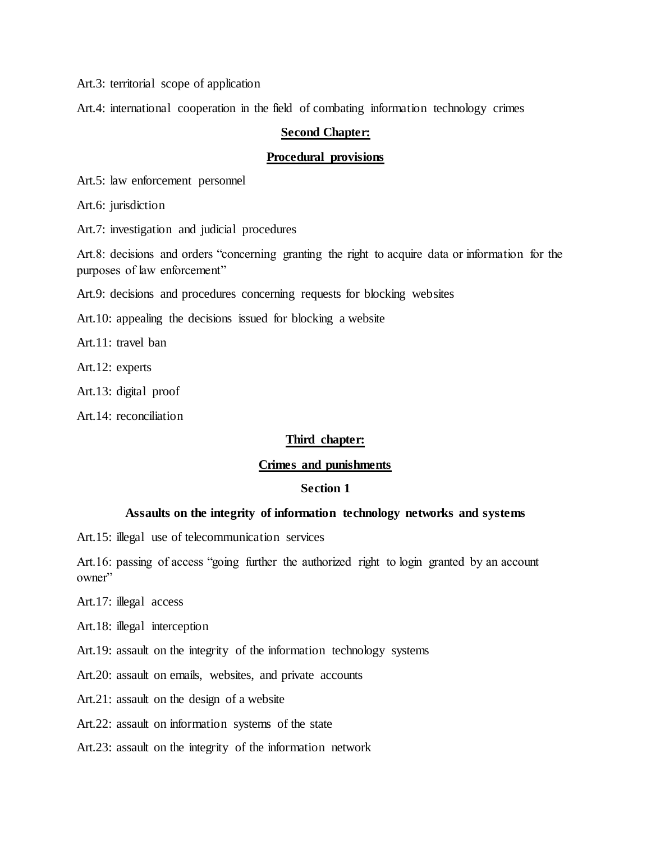Art.3: territorial scope of application

Art.4: international cooperation in the field of combating information technology crimes

#### **Second Chapter:**

#### **Procedural provisions**

Art.5: law enforcement personnel

Art.6: jurisdiction

Art.7: investigation and judicial procedures

Art.8: decisions and orders "concerning granting the right to acquire data or information for the purposes of law enforcement"

Art.9: decisions and procedures concerning requests for blocking websites

Art.10: appealing the decisions issued for blocking a website

Art.11: travel ban

Art.12: experts

Art.13: digital proof

Art.14: reconciliation

#### **Third chapter:**

#### **Crimes and punishments**

#### **Section 1**

#### **Assaults on the integrity of information technology networks and systems**

Art.15: illegal use of telecommunication services

Art.16: passing of access "going further the authorized right to login granted by an account owner"

Art.17: illegal access

Art.18: illegal interception

Art.19: assault on the integrity of the information technology systems

Art.20: assault on emails, websites, and private accounts

Art.21: assault on the design of a website

Art.22: assault on information systems of the state

Art.23: assault on the integrity of the information network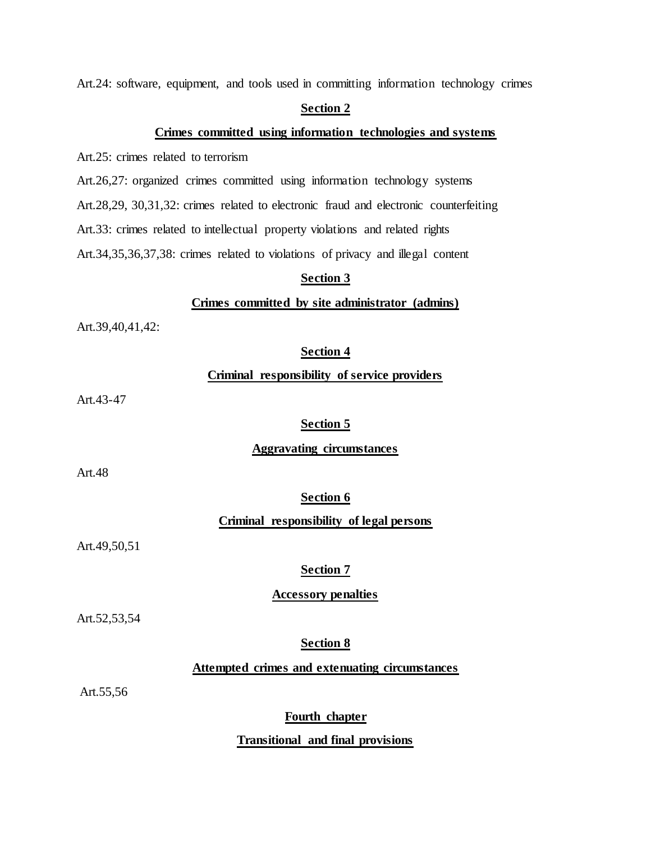Art.24: software, equipment, and tools used in committing information technology crimes

#### **Section 2**

#### **Crimes committed using information technologies and systems**

Art.25: crimes related to terrorism

Art.26,27: organized crimes committed using information technology systems

Art.28,29, 30,31,32: crimes related to electronic fraud and electronic counterfeiting

Art.33: crimes related to intellectual property violations and related rights

Art.34,35,36,37,38: crimes related to violations of privacy and illegal content

#### **Section 3**

#### **Crimes committed by site administrator (admins)**

Art.39,40,41,42:

#### **Section 4**

#### **Criminal responsibility of service providers**

Art.43-47

#### **Section 5**

#### **Aggravating circumstances**

Art.48

**Section 6**

#### **Criminal responsibility of legal persons**

Art.49,50,51

#### **Section 7**

#### **Accessory penalties**

Art.52,53,54

#### **Section 8**

#### **Attempted crimes and extenuating circumstances**

Art.55,56

#### **Fourth chapter**

#### **Transitional and final provisions**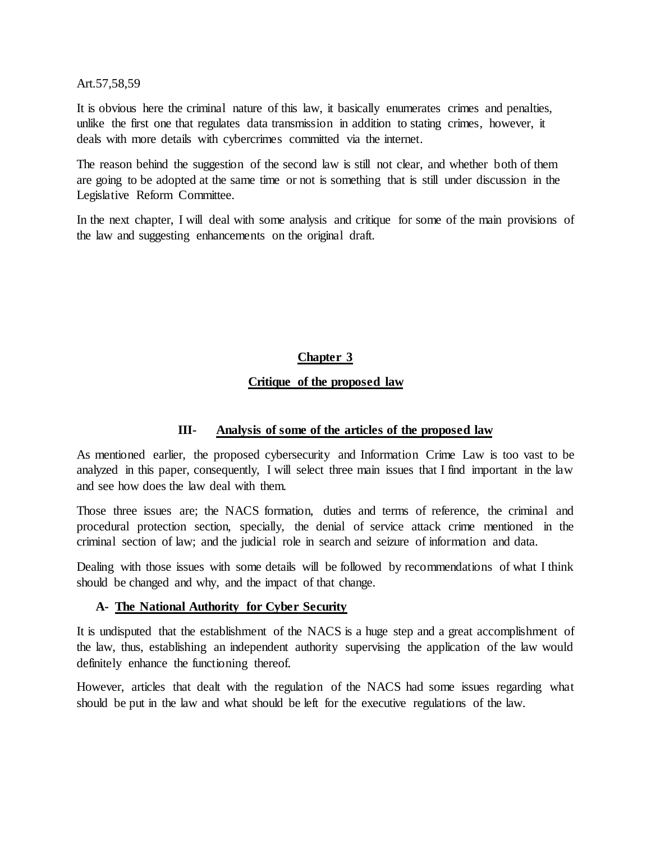Art.57,58,59

It is obvious here the criminal nature of this law, it basically enumerates crimes and penalties, unlike the first one that regulates data transmission in addition to stating crimes, however, it deals with more details with cybercrimes committed via the internet.

The reason behind the suggestion of the second law is still not clear, and whether both of them are going to be adopted at the same time or not is something that is still under discussion in the Legislative Reform Committee.

In the next chapter, I will deal with some analysis and critique for some of the main provisions of the law and suggesting enhancements on the original draft.

# **Chapter 3**

#### **Critique of the proposed law**

#### **III- Analysis of some of the articles of the proposed law**

As mentioned earlier, the proposed cybersecurity and Information Crime Law is too vast to be analyzed in this paper, consequently, I will select three main issues that I find important in the law and see how does the law deal with them.

Those three issues are; the NACS formation, duties and terms of reference, the criminal and procedural protection section, specially, the denial of service attack crime mentioned in the criminal section of law; and the judicial role in search and seizure of information and data.

Dealing with those issues with some details will be followed by recommendations of what I think should be changed and why, and the impact of that change.

#### **A- The National Authority for Cyber Security**

It is undisputed that the establishment of the NACS is a huge step and a great accomplishment of the law, thus, establishing an independent authority supervising the application of the law would definitely enhance the functioning thereof.

However, articles that dealt with the regulation of the NACS had some issues regarding what should be put in the law and what should be left for the executive regulations of the law.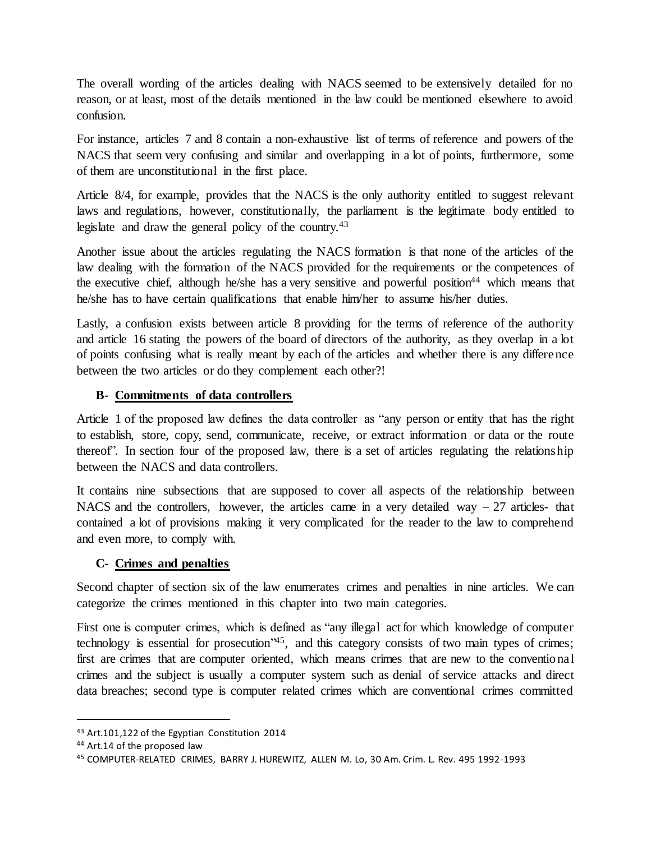The overall wording of the articles dealing with NACS seemed to be extensively detailed for no reason, or at least, most of the details mentioned in the law could be mentioned elsewhere to avoid confusion.

For instance, articles 7 and 8 contain a non-exhaustive list of terms of reference and powers of the NACS that seem very confusing and similar and overlapping in a lot of points, furthermore, some of them are unconstitutional in the first place.

Article 8/4, for example, provides that the NACS is the only authority entitled to suggest relevant laws and regulations, however, constitutionally, the parliament is the legitimate body entitled to legislate and draw the general policy of the country.<sup>43</sup>

Another issue about the articles regulating the NACS formation is that none of the articles of the law dealing with the formation of the NACS provided for the requirements or the competences of the executive chief, although he/she has a very sensitive and powerful position<sup>44</sup> which means that he/she has to have certain qualifications that enable him/her to assume his/her duties.

Lastly, a confusion exists between article 8 providing for the terms of reference of the authority and article 16 stating the powers of the board of directors of the authority, as they overlap in a lot of points confusing what is really meant by each of the articles and whether there is any difference between the two articles or do they complement each other?!

# **B- Commitments of data controllers**

Article 1 of the proposed law defines the data controller as "any person or entity that has the right to establish, store, copy, send, communicate, receive, or extract information or data or the route thereof". In section four of the proposed law, there is a set of articles regulating the relationship between the NACS and data controllers.

It contains nine subsections that are supposed to cover all aspects of the relationship between NACS and the controllers, however, the articles came in a very detailed way  $-27$  articles- that contained a lot of provisions making it very complicated for the reader to the law to comprehend and even more, to comply with.

# **C- Crimes and penalties**

Second chapter of section six of the law enumerates crimes and penalties in nine articles. We can categorize the crimes mentioned in this chapter into two main categories.

First one is computer crimes, which is defined as "any illegal act for which knowledge of computer technology is essential for prosecution<sup>245</sup>, and this category consists of two main types of crimes; first are crimes that are computer oriented, which means crimes that are new to the conventional crimes and the subject is usually a computer system such as denial of service attacks and direct data breaches; second type is computer related crimes which are conventional crimes committed

<sup>43</sup> Art.101,122 of the Egyptian Constitution 2014

<sup>44</sup> Art.14 of the proposed law

<sup>45</sup> COMPUTER-RELATED CRIMES, BARRY J. HUREWITZ, ALLEN M. Lo, 30 Am. Crim. L. Rev. 495 1992-1993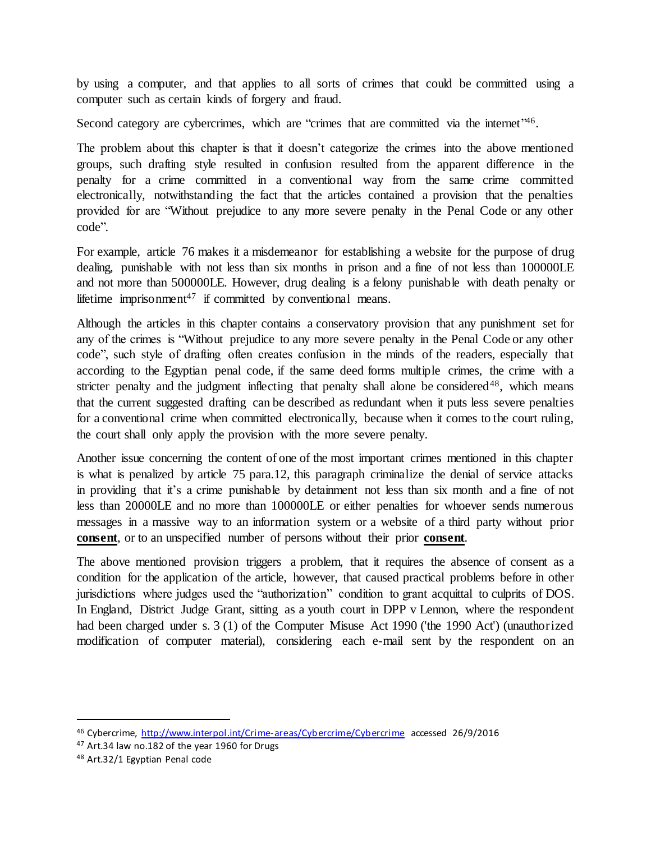by using a computer, and that applies to all sorts of crimes that could be committed using a computer such as certain kinds of forgery and fraud.

Second category are cybercrimes, which are "crimes that are committed via the internet"46.

The problem about this chapter is that it doesn't categorize the crimes into the above mentioned groups, such drafting style resulted in confusion resulted from the apparent difference in the penalty for a crime committed in a conventional way from the same crime committed electronically, notwithstanding the fact that the articles contained a provision that the penalties provided for are "Without prejudice to any more severe penalty in the Penal Code or any other code".

For example, article 76 makes it a misdemeanor for establishing a website for the purpose of drug dealing, punishable with not less than six months in prison and a fine of not less than 100000LE and not more than 500000LE. However, drug dealing is a felony punishable with death penalty or lifetime imprisonment<sup>47</sup> if committed by conventional means.

Although the articles in this chapter contains a conservatory provision that any punishment set for any of the crimes is "Without prejudice to any more severe penalty in the Penal Code or any other code", such style of drafting often creates confusion in the minds of the readers, especially that according to the Egyptian penal code, if the same deed forms multiple crimes, the crime with a stricter penalty and the judgment inflecting that penalty shall alone be considered<sup>48</sup>, which means that the current suggested drafting can be described as redundant when it puts less severe penalties for a conventional crime when committed electronically, because when it comes to the court ruling, the court shall only apply the provision with the more severe penalty.

Another issue concerning the content of one of the most important crimes mentioned in this chapter is what is penalized by article 75 para.12, this paragraph criminalize the denial of service attacks in providing that it's a crime punishable by detainment not less than six month and a fine of not less than 20000LE and no more than 100000LE or either penalties for whoever sends numerous messages in a massive way to an information system or a website of a third party without prior **consent**, or to an unspecified number of persons without their prior **consent**.

The above mentioned provision triggers a problem, that it requires the absence of consent as a condition for the application of the article, however, that caused practical problems before in other jurisdictions where judges used the "authorization" condition to grant acquittal to culprits of DOS. In England, District Judge Grant, sitting as a youth court in DPP v Lennon, where the respondent had been charged under s. 3 (1) of the Computer Misuse Act 1990 ('the 1990 Act') (unauthorized modification of computer material), considering each e-mail sent by the respondent on an

<sup>46</sup> Cybercrime,<http://www.interpol.int/Crime-areas/Cybercrime/Cybercrime> accessed 26/9/2016

<sup>&</sup>lt;sup>47</sup> Art.34 law no.182 of the year 1960 for Drugs

<sup>48</sup> Art.32/1 Egyptian Penal code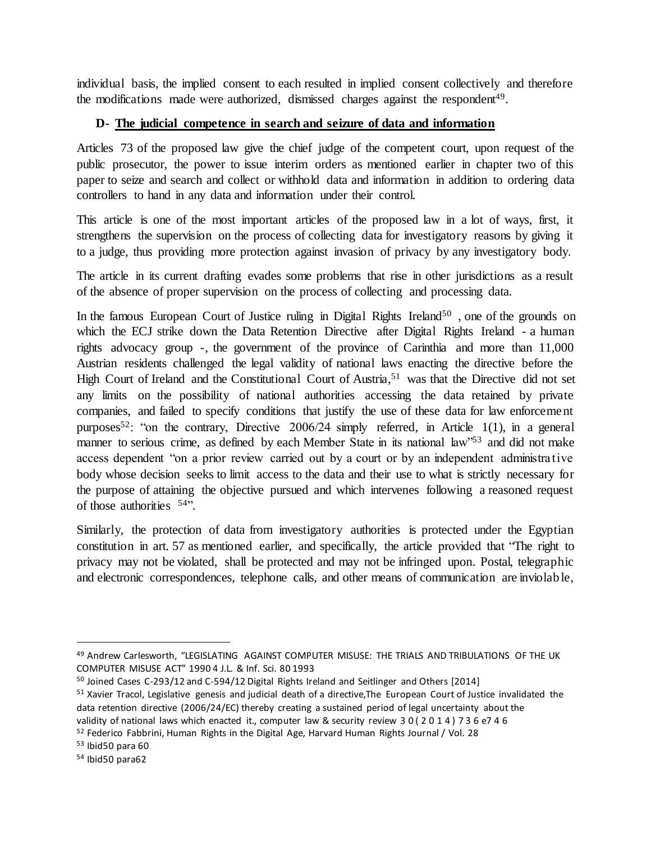individual basis, the implied consent to each resulted in implied consent collectively and therefore the modifications made were authorized, dismissed charges against the respondent<sup>49</sup>.

# **D- The judicial competence in search and seizure of data and information**

Articles 73 of the proposed law give the chief judge of the competent court, upon request of the public prosecutor, the power to issue interim orders as mentioned earlier in chapter two of this paper to seize and search and collect or withhold data and information in addition to ordering data controllers to hand in any data and information under their control.

This article is one of the most important articles of the proposed law in a lot of ways, first, it strengthens the supervision on the process of collecting data for investigatory reasons by giving it to a judge, thus providing more protection against invasion of privacy by any investigatory body.

The article in its current drafting evades some problems that rise in other jurisdictions as a result of the absence of proper supervision on the process of collecting and processing data.

In the famous European Court of Justice ruling in Digital Rights Ireland<sup>50</sup>, one of the grounds on which the ECJ strike down the Data Retention Directive after Digital Rights Ireland - a human rights advocacy group -, the government of the province of Carinthia and more than 11,000 Austrian residents challenged the legal validity of national laws enacting the directive before the High Court of Ireland and the Constitutional Court of Austria,<sup>51</sup> was that the Directive did not set any limits on the possibility of national authorities accessing the data retained by private companies, and failed to specify conditions that justify the use of these data for law enforcement purposes<sup>52</sup>: "on the contrary, Directive 2006/24 simply referred, in Article 1(1), in a general manner to serious crime, as defined by each Member State in its national law"<sup>53</sup> and did not make access dependent "on a prior review carried out by a court or by an independent administrative body whose decision seeks to limit access to the data and their use to what is strictly necessary for the purpose of attaining the objective pursued and which intervenes following a reasoned request of those authorities <sup>54</sup>".

Similarly, the protection of data from investigatory authorities is protected under the Egyptian constitution in art. 57 as mentioned earlier, and specifically, the article provided that "The right to privacy may not be violated, shall be protected and may not be infringed upon. Postal, telegraphic and electronic correspondences, telephone calls, and other means of communication are inviolable,

<sup>49</sup> Andrew Carlesworth, "LEGISLATING AGAINST COMPUTER MISUSE: THE TRIALS AND TRIBULATIONS OF THE UK COMPUTER MISUSE ACT" 1990 4 J.L. & Inf. Sci. 80 1993

<sup>&</sup>lt;sup>50</sup> Joined Cases C-293/12 and C-594/12 Digital Rights Ireland and Seitlinger and Others [2014]

<sup>51</sup> Xavier Tracol, Legislative genesis and judicial death of a directive,The European Court of Justice invalidated the data retention directive (2006/24/EC) thereby creating a sustained period of legal uncertainty about the validity of national laws which enacted it., computer law & security review 3 0 ( 2 0 1 4 ) 7 3 6 e7 4 6

 $52$  Federico Fabbrini, Human Rights in the Digital Age, Harvard Human Rights Journal / Vol. 28

<sup>53</sup> Ibid50 para 60

<sup>54</sup> Ibid50 para62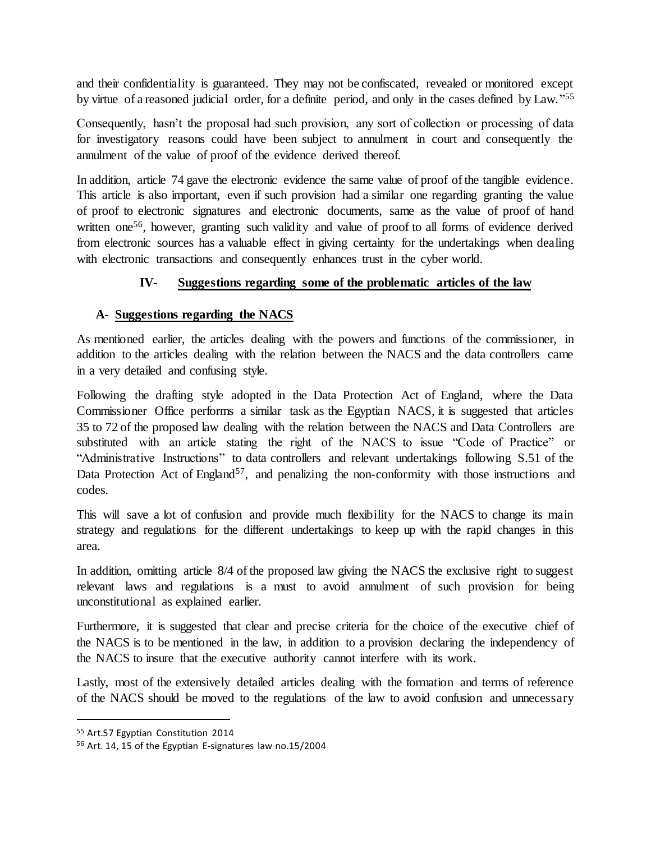and their confidentiality is guaranteed. They may not be confiscated, revealed or monitored except by virtue of a reasoned judicial order, for a definite period, and only in the cases defined by Law."<sup>55</sup>

Consequently, hasn't the proposal had such provision, any sort of collection or processing of data for investigatory reasons could have been subject to annulment in court and consequently the annulment of the value of proof of the evidence derived thereof.

In addition, article 74 gave the electronic evidence the same value of proof of the tangible evidence. This article is also important, even if such provision had a similar one regarding granting the value of proof to electronic signatures and electronic documents, same as the value of proof of hand written one<sup>56</sup>, however, granting such validity and value of proof to all forms of evidence derived from electronic sources has a valuable effect in giving certainty for the undertakings when dealing with electronic transactions and consequently enhances trust in the cyber world.

# **IV- Suggestions regarding some of the problematic articles of the law**

# **A- Suggestions regarding the NACS**

As mentioned earlier, the articles dealing with the powers and functions of the commissioner, in addition to the articles dealing with the relation between the NACS and the data controllers came in a very detailed and confusing style.

Following the drafting style adopted in the Data Protection Act of England, where the Data Commissioner Office performs a similar task as the Egyptian NACS, it is suggested that articles 35 to 72 of the proposed law dealing with the relation between the NACS and Data Controllers are substituted with an article stating the right of the NACS to issue "Code of Practice" or "Administrative Instructions" to data controllers and relevant undertakings following S.51 of the Data Protection Act of England<sup>57</sup>, and penalizing the non-conformity with those instructions and codes.

This will save a lot of confusion and provide much flexibility for the NACS to change its main strategy and regulations for the different undertakings to keep up with the rapid changes in this area.

In addition, omitting article 8/4 of the proposed law giving the NACS the exclusive right to suggest relevant laws and regulations is a must to avoid annulment of such provision for being unconstitutional as explained earlier.

Furthermore, it is suggested that clear and precise criteria for the choice of the executive chief of the NACS is to be mentioned in the law, in addition to a provision declaring the independency of the NACS to insure that the executive authority cannot interfere with its work.

Lastly, most of the extensively detailed articles dealing with the formation and terms of reference of the NACS should be moved to the regulations of the law to avoid confusion and unnecessary

<sup>55</sup> Art.57 Egyptian Constitution 2014

<sup>56</sup> Art. 14, 15 of the Egyptian E-signatures law no.15/2004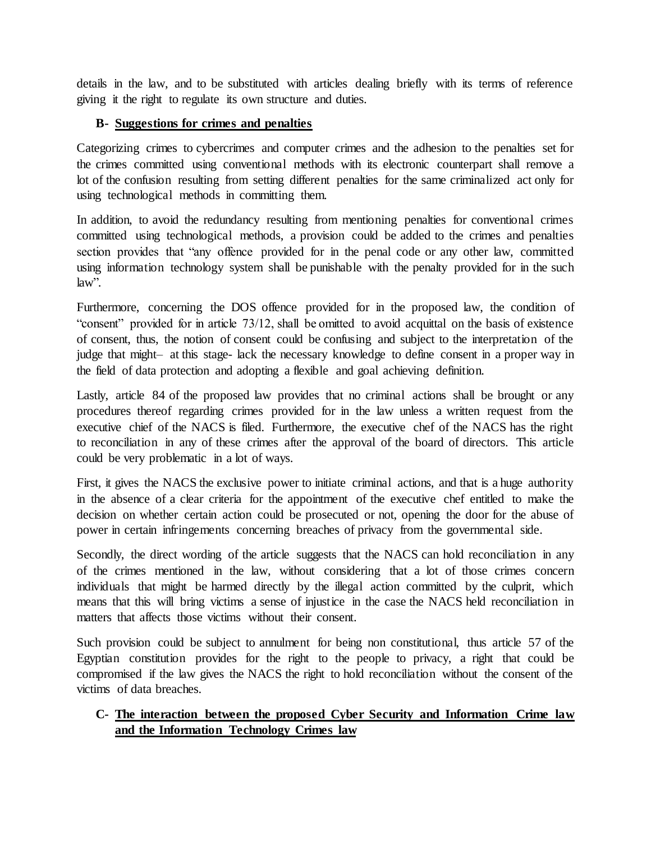details in the law, and to be substituted with articles dealing briefly with its terms of reference giving it the right to regulate its own structure and duties.

# **B- Suggestions for crimes and penalties**

Categorizing crimes to cybercrimes and computer crimes and the adhesion to the penalties set for the crimes committed using conventional methods with its electronic counterpart shall remove a lot of the confusion resulting from setting different penalties for the same criminalized act only for using technological methods in committing them.

In addition, to avoid the redundancy resulting from mentioning penalties for conventional crimes committed using technological methods, a provision could be added to the crimes and penalties section provides that "any offence provided for in the penal code or any other law, committed using information technology system shall be punishable with the penalty provided for in the such law".

Furthermore, concerning the DOS offence provided for in the proposed law, the condition of "consent" provided for in article 73/12, shall be omitted to avoid acquittal on the basis of existence of consent, thus, the notion of consent could be confusing and subject to the interpretation of the judge that might– at this stage- lack the necessary knowledge to define consent in a proper way in the field of data protection and adopting a flexible and goal achieving definition.

Lastly, article 84 of the proposed law provides that no criminal actions shall be brought or any procedures thereof regarding crimes provided for in the law unless a written request from the executive chief of the NACS is filed. Furthermore, the executive chef of the NACS has the right to reconciliation in any of these crimes after the approval of the board of directors. This article could be very problematic in a lot of ways.

First, it gives the NACS the exclusive power to initiate criminal actions, and that is a huge authority in the absence of a clear criteria for the appointment of the executive chef entitled to make the decision on whether certain action could be prosecuted or not, opening the door for the abuse of power in certain infringements concerning breaches of privacy from the governmental side.

Secondly, the direct wording of the article suggests that the NACS can hold reconciliation in any of the crimes mentioned in the law, without considering that a lot of those crimes concern individuals that might be harmed directly by the illegal action committed by the culprit, which means that this will bring victims a sense of injustice in the case the NACS held reconciliation in matters that affects those victims without their consent.

Such provision could be subject to annulment for being non constitutional, thus article 57 of the Egyptian constitution provides for the right to the people to privacy, a right that could be compromised if the law gives the NACS the right to hold reconciliation without the consent of the victims of data breaches.

# **C- The interaction between the proposed Cyber Security and Information Crime law and the Information Technology Crimes law**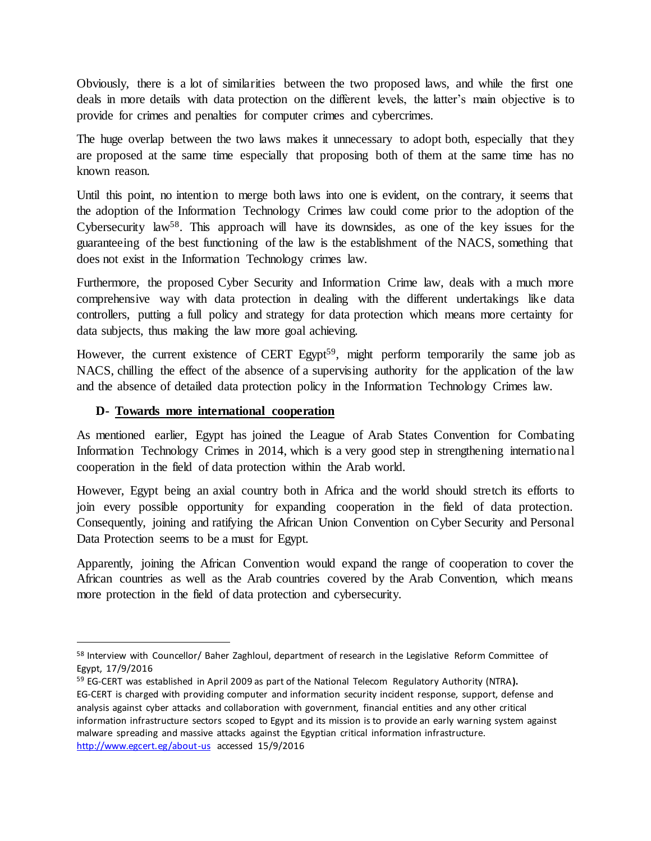Obviously, there is a lot of similarities between the two proposed laws, and while the first one deals in more details with data protection on the different levels, the latter's main objective is to provide for crimes and penalties for computer crimes and cybercrimes.

The huge overlap between the two laws makes it unnecessary to adopt both, especially that they are proposed at the same time especially that proposing both of them at the same time has no known reason.

Until this point, no intention to merge both laws into one is evident, on the contrary, it seems that the adoption of the Information Technology Crimes law could come prior to the adoption of the Cybersecurity law<sup>58</sup>. This approach will have its downsides, as one of the key issues for the guaranteeing of the best functioning of the law is the establishment of the NACS, something that does not exist in the Information Technology crimes law.

Furthermore, the proposed Cyber Security and Information Crime law, deals with a much more comprehensive way with data protection in dealing with the different undertakings like data controllers, putting a full policy and strategy for data protection which means more certainty for data subjects, thus making the law more goal achieving.

However, the current existence of CERT Egypt<sup>59</sup>, might perform temporarily the same job as NACS, chilling the effect of the absence of a supervising authority for the application of the law and the absence of detailed data protection policy in the Information Technology Crimes law.

# **D- Towards more international cooperation**

 $\overline{a}$ 

As mentioned earlier, Egypt has joined the League of Arab States Convention for Combating Information Technology Crimes in 2014, which is a very good step in strengthening international cooperation in the field of data protection within the Arab world.

However, Egypt being an axial country both in Africa and the world should stretch its efforts to join every possible opportunity for expanding cooperation in the field of data protection. Consequently, joining and ratifying the African Union Convention on Cyber Security and Personal Data Protection seems to be a must for Egypt.

Apparently, joining the African Convention would expand the range of cooperation to cover the African countries as well as the Arab countries covered by the Arab Convention, which means more protection in the field of data protection and cybersecurity.

<sup>58</sup> Interview with Councellor/ Baher Zaghloul, department of research in the Legislative Reform Committee of Egypt, 17/9/2016

<sup>59</sup> EG-CERT was established in April 2009 as part of the National Telecom Regulatory Authority (NTRA**).** EG-CERT is charged with providing computer and information security incident response, support, defense and analysis against cyber attacks and collaboration with government, financial entities and any other critical information infrastructure sectors scoped to Egypt and its mission is to provide an early warning system against malware spreading and massive attacks against the Egyptian critical information infrastructure. <http://www.egcert.eg/about-us> accessed 15/9/2016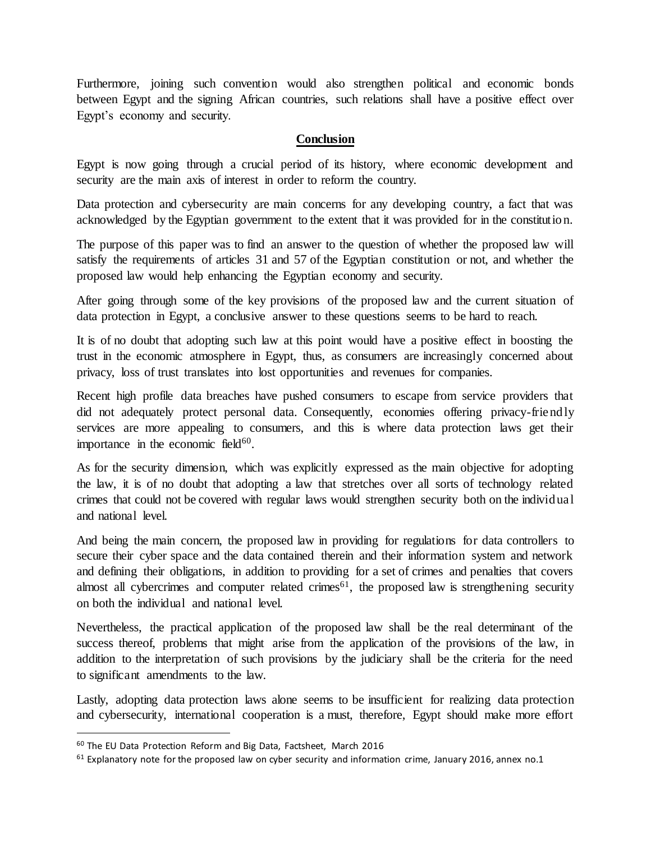Furthermore, joining such convention would also strengthen political and economic bonds between Egypt and the signing African countries, such relations shall have a positive effect over Egypt's economy and security.

#### **Conclusion**

Egypt is now going through a crucial period of its history, where economic development and security are the main axis of interest in order to reform the country.

Data protection and cybersecurity are main concerns for any developing country, a fact that was acknowledged by the Egyptian government to the extent that it was provided for in the constitution.

The purpose of this paper was to find an answer to the question of whether the proposed law will satisfy the requirements of articles 31 and 57 of the Egyptian constitution or not, and whether the proposed law would help enhancing the Egyptian economy and security.

After going through some of the key provisions of the proposed law and the current situation of data protection in Egypt, a conclusive answer to these questions seems to be hard to reach.

It is of no doubt that adopting such law at this point would have a positive effect in boosting the trust in the economic atmosphere in Egypt, thus, as consumers are increasingly concerned about privacy, loss of trust translates into lost opportunities and revenues for companies.

Recent high profile data breaches have pushed consumers to escape from service providers that did not adequately protect personal data. Consequently, economies offering privacy-friendly services are more appealing to consumers, and this is where data protection laws get their importance in the economic field $60$ .

As for the security dimension, which was explicitly expressed as the main objective for adopting the law, it is of no doubt that adopting a law that stretches over all sorts of technology related crimes that could not be covered with regular laws would strengthen security both on the individual and national level.

And being the main concern, the proposed law in providing for regulations for data controllers to secure their cyber space and the data contained therein and their information system and network and defining their obligations, in addition to providing for a set of crimes and penalties that covers almost all cybercrimes and computer related crimes<sup>61</sup>, the proposed law is strengthening security on both the individual and national level.

Nevertheless, the practical application of the proposed law shall be the real determinant of the success thereof, problems that might arise from the application of the provisions of the law, in addition to the interpretation of such provisions by the judiciary shall be the criteria for the need to significant amendments to the law.

Lastly, adopting data protection laws alone seems to be insufficient for realizing data protection and cybersecurity, international cooperation is a must, therefore, Egypt should make more effort

<sup>60</sup> The EU Data Protection Reform and Big Data, Factsheet, March 2016

 $61$  Explanatory note for the proposed law on cyber security and information crime, January 2016, annex no.1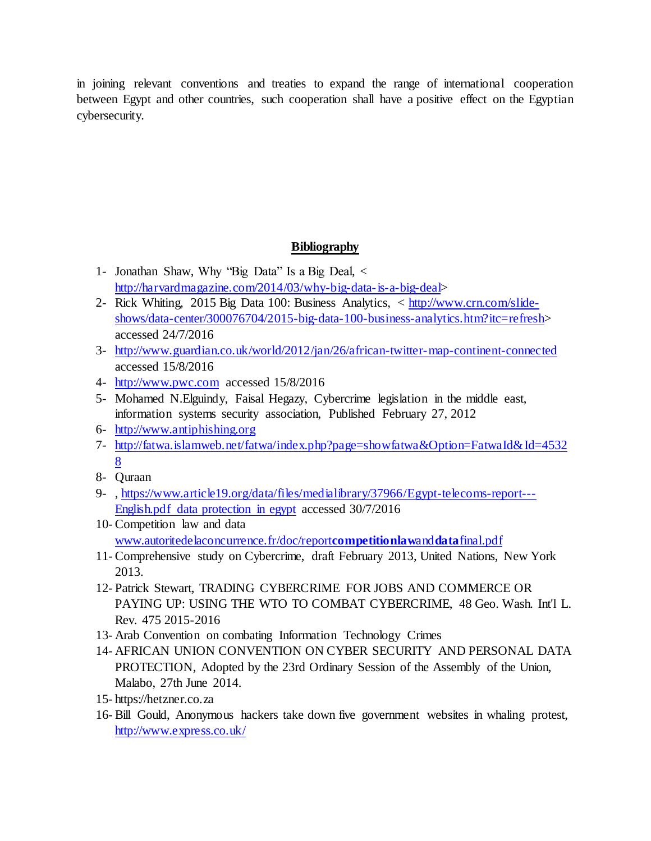in joining relevant conventions and treaties to expand the range of international cooperation between Egypt and other countries, such cooperation shall have a positive effect on the Egyptian cybersecurity.

# **Bibliography**

- 1- Jonathan Shaw, Why "Big Data" Is a Big Deal, < [http://harvardmagazine.com/2014/03/why-big-data-is-a-big-deal>](http://harvardmagazine.com/2014/03/why-big-data-is-a-big-deal)
- 2- Rick Whiting, 2015 Big Data 100: Business Analytics, < [http://www.crn.com/slide](http://www.crn.com/slide-shows/data-center/300076704/2015-big-data-100-business-analytics.htm?itc=refresh)[shows/data-center/300076704/2015-big-data-100-business-analytics.htm?itc=refresh>](http://www.crn.com/slide-shows/data-center/300076704/2015-big-data-100-business-analytics.htm?itc=refresh) accessed 24/7/2016
- 3- <http://www.guardian.co.uk/world/2012/jan/26/african-twitter-map-continent-connected> accessed 15/8/2016
- 4- [http://www.pwc.com](http://www.pwc.com/) accessed 15/8/2016
- 5- Mohamed N.Elguindy, Faisal Hegazy, Cybercrime legislation in the middle east, information systems security association, Published February 27, 2012
- 6- [http://www.antiphishing.org](http://www.antiphishing.org/)
- 7- [http://fatwa.islamweb.net/fatwa/index.php?page=showfatwa&Option=FatwaId&Id=4532](http://fatwa.islamweb.net/fatwa/index.php?page=showfatwa&Option=FatwaId&Id=45328) [8](http://fatwa.islamweb.net/fatwa/index.php?page=showfatwa&Option=FatwaId&Id=45328)
- 8- Quraan
- 9-, [https://www.article19.org/data/files/medialibrary/37966/Egypt-telecoms-report---](https://www.article19.org/data/files/medialibrary/37966/Egypt-telecoms-report---English.pdf%20data%20protection%20in%20egypt) [English.pdf data protection in egypt](https://www.article19.org/data/files/medialibrary/37966/Egypt-telecoms-report---English.pdf%20data%20protection%20in%20egypt) accessed 30/7/2016
- 10- Competition law and data [www.autoritedelaconcurrence.fr/doc/report](http://www.autoritedelaconcurrence.fr/doc/reportcompetitionlawanddatafinal.pdf)**competitionlaw**and**data**final.pdf
- 11- Comprehensive study on Cybercrime, draft February 2013, United Nations, New York 2013.
- 12- Patrick Stewart, TRADING CYBERCRIME FOR JOBS AND COMMERCE OR PAYING UP: USING THE WTO TO COMBAT CYBERCRIME, 48 Geo. Wash. Int'l L. Rev. 475 2015-2016
- 13- Arab Convention on combating Information Technology Crimes
- 14- AFRICAN UNION CONVENTION ON CYBER SECURITY AND PERSONAL DATA PROTECTION, Adopted by the 23rd Ordinary Session of the Assembly of the Union, Malabo, 27th June 2014.
- 15- https://hetzner.co.za
- 16- Bill Gould, Anonymous hackers take down five government websites in whaling protest, <http://www.express.co.uk/>